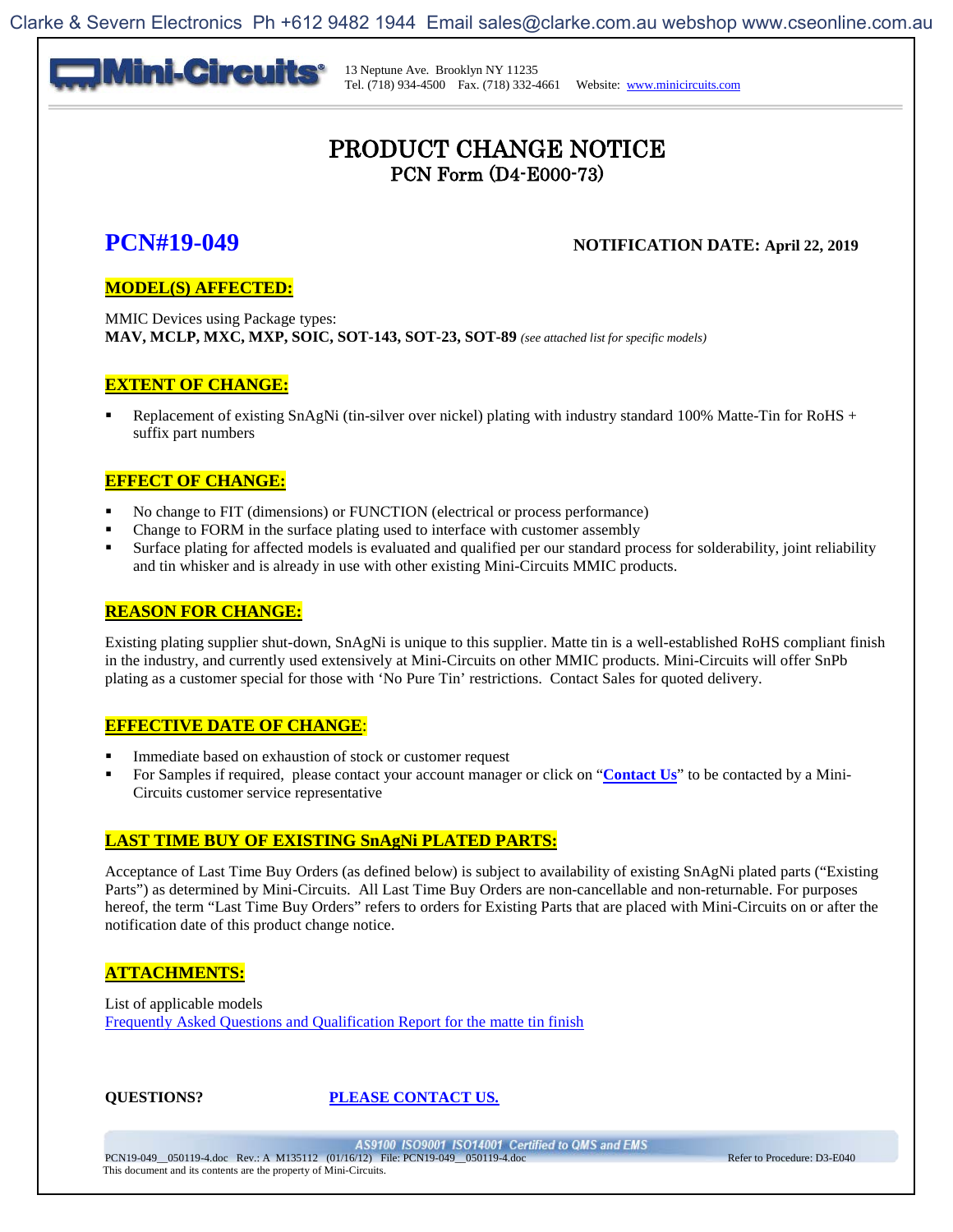

### PRODUCT CHANGE NOTICE PCN Form (D4-E000-73)

### **PCN#19-049** NOTIFICATION DATE: April 22, 2019

#### **MODEL(S) AFFECTED:**

MMIC Devices using Package types: **MAV, MCLP, MXC, MXP, SOIC, SOT-143, SOT-23, SOT-89** *(see attached list for specific models)*

#### **EXTENT OF CHANGE:**

 Replacement of existing SnAgNi (tin-silver over nickel) plating with industry standard 100% Matte-Tin for RoHS + suffix part numbers

#### **EFFECT OF CHANGE:**

- No change to FIT (dimensions) or FUNCTION (electrical or process performance)
- Change to FORM in the surface plating used to interface with customer assembly
- Surface plating for affected models is evaluated and qualified per our standard process for solderability, joint reliability and tin whisker and is already in use with other existing Mini-Circuits MMIC products.

#### **REASON FOR CHANGE:**

Existing plating supplier shut-down, SnAgNi is unique to this supplier. Matte tin is a well-established RoHS compliant finish in the industry, and currently used extensively at Mini-Circuits on other MMIC products. Mini-Circuits will offer SnPb plating as a customer special for those with 'No Pure Tin' restrictions. Contact Sales for quoted delivery.

#### **EFFECTIVE DATE OF CHANGE**:

- Immediate based on exhaustion of stock or customer request
- For Samples if required, please contact your account manager or click on "**Contact Us**" to be contacted by a Mini-Circuits customer service representative

#### **LAST TIME BUY OF EXISTING SnAgNi PLATED PARTS:**

Acceptance of Last Time Buy Orders (as defined below) is subject to availability of existing SnAgNi plated parts ("Existing Parts") as determined by Mini-Circuits. All Last Time Buy Orders are non-cancellable and non-returnable. For purposes hereof, the term "Last Time Buy Orders" refers to orders for Existing Parts that are placed with Mini-Circuits on or after the notification date of this product change notice.

#### **ATTACHMENTS:**

List of applicable models [Frequently Asked Questions and Qualification Report for the matte tin finish](#page-8-0)

#### **QUESTIONS? PLEASE CONTACT US.**

AS9100 ISO9001 ISO14001 Certified to QMS and EMS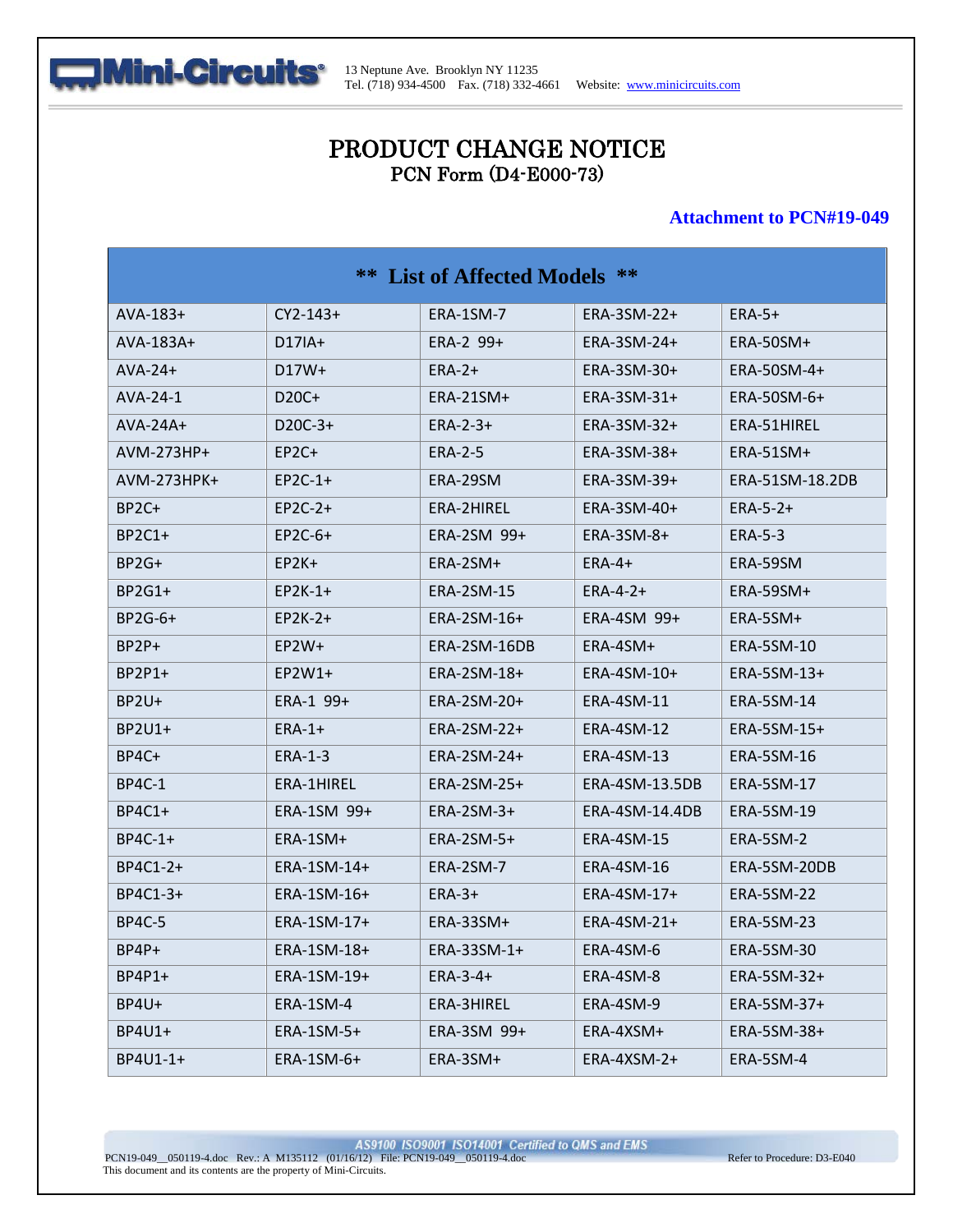

# PRODUCT CHANGE NOTICE PCN Form (D4-E000-73)

#### **Attachment to PCN#19-049**

| <b>**</b> List of Affected Models ** |                    |                   |                   |                   |  |
|--------------------------------------|--------------------|-------------------|-------------------|-------------------|--|
| $AVA-183+$                           | $CY2-143+$         | ERA-1SM-7         | ERA-3SM-22+       | $ERA-5+$          |  |
| $AVA-183A+$                          | $D17IA+$           | $ERA-2$ 99+       | ERA-3SM-24+       | ERA-50SM+         |  |
| $AVA-24+$                            | $D17W+$            | $ERA-2+$          | ERA-3SM-30+       | ERA-50SM-4+       |  |
| AVA-24-1                             | D <sub>20</sub> C+ | $ERA-21SM+$       | ERA-3SM-31+       | ERA-50SM-6+       |  |
| $AVA-24A+$                           | $D20C-3+$          | $ERA-2-3+$        | ERA-3SM-32+       | ERA-51HIREL       |  |
| AVM-273HP+                           | $E$ P2C+           | <b>ERA-2-5</b>    | ERA-3SM-38+       | ERA-51SM+         |  |
| $AVM-273HPK+$                        | $E$ P2C-1+         | ERA-29SM          | ERA-3SM-39+       | ERA-51SM-18.2DB   |  |
| BP <sub>2</sub> C+                   | $EP2C-2+$          | ERA-2HIREL        | ERA-3SM-40+       | $ERA-5-2+$        |  |
| $BP2C1+$                             | $E$ P2C-6+         | ERA-2SM 99+       | $ERA-3SM-8+$      | <b>ERA-5-3</b>    |  |
| BP2G+                                | $E$ P2K+           | ERA-2SM+          | $ERA-4+$          | ERA-59SM          |  |
| $BP2G1+$                             | $E$ P2K-1+         | <b>ERA-2SM-15</b> | $ERA-4-2+$        | $ERA-59SM+$       |  |
| $BP2G-6+$                            | $EP2K-2+$          | ERA-2SM-16+       | ERA-4SM 99+       | ERA-5SM+          |  |
| $BP2P+$                              | $E$ P2W+           | ERA-2SM-16DB      | ERA-4SM+          | <b>ERA-5SM-10</b> |  |
| $BP2P1+$                             | $E$ P2W1+          | ERA-2SM-18+       | ERA-4SM-10+       | ERA-5SM-13+       |  |
| BP2U+                                | $ERA-1$ 99+        | ERA-2SM-20+       | ERA-4SM-11        | ERA-5SM-14        |  |
| $BP2U1+$                             | $ERA-1+$           | ERA-2SM-22+       | <b>ERA-4SM-12</b> | ERA-5SM-15+       |  |
| BP4C+                                | <b>ERA-1-3</b>     | ERA-2SM-24+       | <b>ERA-4SM-13</b> | <b>ERA-5SM-16</b> |  |
| <b>BP4C-1</b>                        | ERA-1HIREL         | ERA-2SM-25+       | ERA-4SM-13.5DB    | ERA-5SM-17        |  |
| $BP4C1+$                             | ERA-1SM 99+        | $ERA-2SM-3+$      | ERA-4SM-14.4DB    | ERA-5SM-19        |  |
| $BP4C-1+$                            | ERA-1SM+           | $ERA-2SM-5+$      | ERA-4SM-15        | ERA-5SM-2         |  |
| BP4C1-2+                             | ERA-1SM-14+        | ERA-2SM-7         | <b>ERA-4SM-16</b> | ERA-5SM-20DB      |  |
| BP4C1-3+                             | ERA-1SM-16+        | $ERA-3+$          | $ERA-4SM-17+$     | <b>ERA-5SM-22</b> |  |
| <b>BP4C-5</b>                        | ERA-1SM-17+        | ERA-33SM+         | ERA-4SM-21+       | <b>ERA-5SM-23</b> |  |
| BP4P+                                | ERA-1SM-18+        | ERA-33SM-1+       | ERA-4SM-6         | ERA-5SM-30        |  |
| BP4P1+                               | ERA-1SM-19+        | $ERA-3-4+$        | ERA-4SM-8         | ERA-5SM-32+       |  |
| BP4U+                                | ERA-1SM-4          | ERA-3HIREL        | ERA-4SM-9         | ERA-5SM-37+       |  |
| BP4U1+                               | ERA-1SM-5+         | ERA-3SM 99+       | ERA-4XSM+         | ERA-5SM-38+       |  |
| BP4U1-1+                             | ERA-1SM-6+         | ERA-3SM+          | ERA-4XSM-2+       | ERA-5SM-4         |  |

AS9100 ISO9001 ISO14001 Certified to QMS and EMS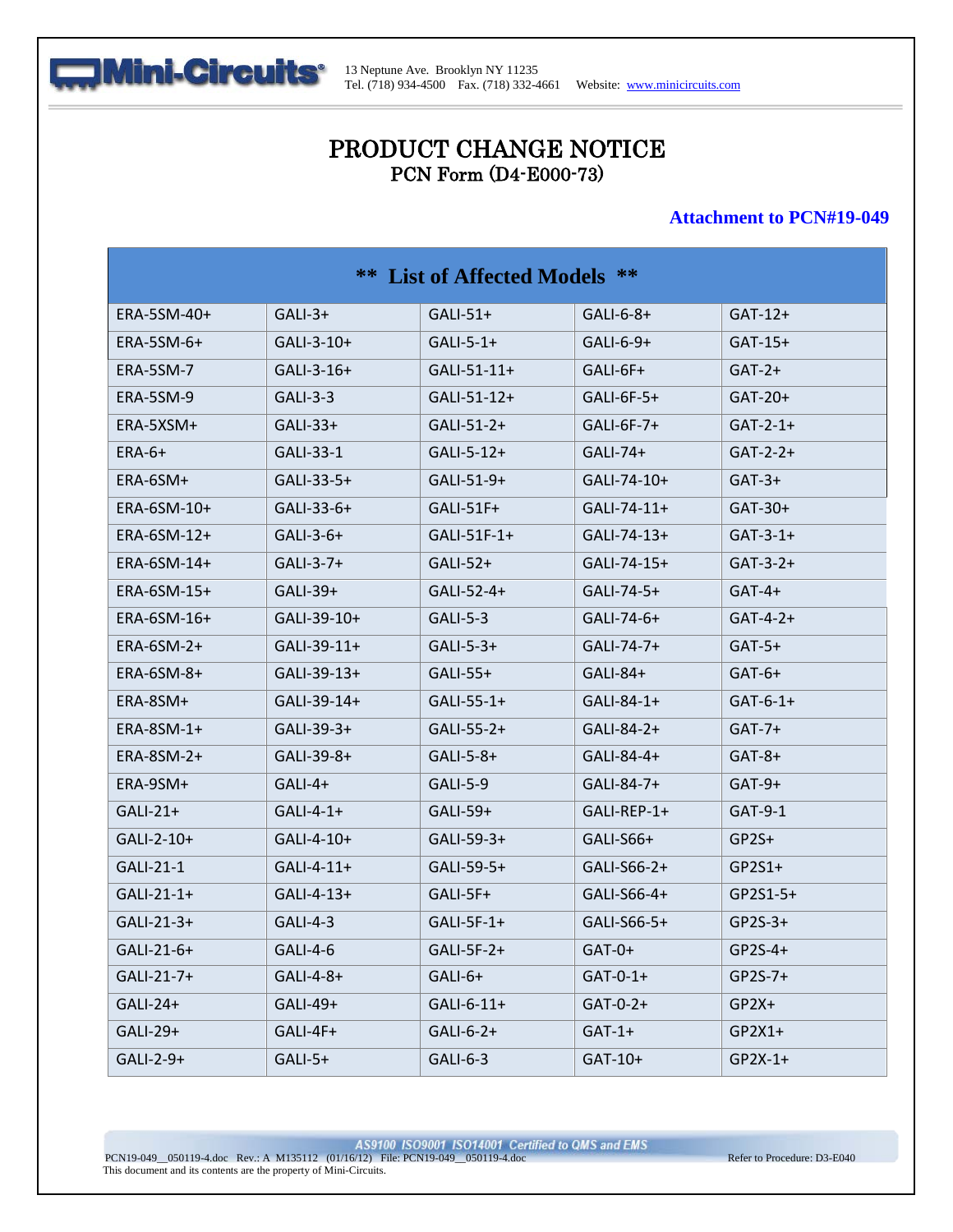

# PRODUCT CHANGE NOTICE PCN Form (D4-E000-73)

#### **Attachment to PCN#19-049**

| <b>**</b> List of Affected Models ** |              |               |               |            |
|--------------------------------------|--------------|---------------|---------------|------------|
| ERA-5SM-40+                          | $GALI-3+$    | $GALI-51+$    | $GALI-6-8+$   | $GAT-12+$  |
| $ERA-5SM-6+$                         | $GALI-3-10+$ | $GALI-5-1+$   | $GALI-6-9+$   | $GAT-15+$  |
| ERA-5SM-7                            | $GALI-3-16+$ | $GALI-51-11+$ | $GALI-6F+$    | $GAT-2+$   |
| ERA-5SM-9                            | $GALI-3-3$   | GALI-51-12+   | $GALI-6F-5+$  | $GAT-20+$  |
| ERA-5XSM+                            | $GALI-33+$   | $GALI-51-2+$  | GALI-6F-7+    | $GAT-2-1+$ |
| $ERA-6+$                             | GALI-33-1    | $GALI-5-12+$  | $GALI-74+$    | $GAT-2-2+$ |
| ERA-6SM+                             | GALI-33-5+   | GALI-51-9+    | GALI-74-10+   | $GAT-3+$   |
| ERA-6SM-10+                          | $GALI-33-6+$ | $GALI-51F+$   | $GALI-74-11+$ | $GAT-30+$  |
| ERA-6SM-12+                          | $GALI-3-6+$  | $GALI-51F-1+$ | GALI-74-13+   | $GAT-3-1+$ |
| ERA-6SM-14+                          | $GALI-3-7+$  | $GALI-52+$    | GALI-74-15+   | $GAT-3-2+$ |
| ERA-6SM-15+                          | $GALI-39+$   | GALI-52-4+    | GALI-74-5+    | $GAT-4+$   |
| ERA-6SM-16+                          | GALI-39-10+  | $GALI-5-3$    | GALI-74-6+    | $GAT-4-2+$ |
| $ERA-6SM-2+$                         | GALI-39-11+  | $GALI-5-3+$   | GALI-74-7+    | $GAT-5+$   |
| $ERA-6SM-8+$                         | GALI-39-13+  | $GALI-55+$    | $GALI-84+$    | $GAT-6+$   |
| ERA-8SM+                             | GALI-39-14+  | $GALI-55-1+$  | GALI-84-1+    | $GAT-6-1+$ |
| $ERA-8SM-1+$                         | $GALI-39-3+$ | GALI-55-2+    | GALI-84-2+    | $GAT-7+$   |
| $ERA-8SM-2+$                         | GALI-39-8+   | $GALI-5-8+$   | GALI-84-4+    | $GAT-8+$   |
| ERA-9SM+                             | $GALI-4+$    | GALI-5-9      | GALI-84-7+    | $GAT-9+$   |
| $GALI-21+$                           | $GALI-4-1+$  | $GALI-59+$    | GALI-REP-1+   | $GAT-9-1$  |
| GALI-2-10+                           | $GALI-4-10+$ | $GALI-59-3+$  | $GALI-S66+$   | $GP2S+$    |
| GALI-21-1                            | $GALI-4-11+$ | GALI-59-5+    | GALI-S66-2+   | $GP2S1+$   |
| $GALI-21-1+$                         | $GALI-4-13+$ | $GALI-5F+$    | GALI-S66-4+   | $GP2S1-5+$ |
| $GALI-21-3+$                         | $GALI-4-3$   | $GALI-5F-1+$  | GALI-S66-5+   | $GP2S-3+$  |
| GALI-21-6+                           | GALI-4-6     | GALI-5F-2+    | $GAT-0+$      | $GP2S-4+$  |
| GALI-21-7+                           | GALI-4-8+    | $GALI-6+$     | $GAT-0-1+$    | $GP2S-7+$  |
| GALI-24+                             | GALI-49+     | GALI-6-11+    | $GAT-0-2+$    | $GP2X+$    |
| GALI-29+                             | GALI-4F+     | GALI-6-2+     | $GAT-1+$      | $GP2X1+$   |
| GALI-2-9+                            | $GALI-5+$    | GALI-6-3      | GAT-10+       | $GP2X-1+$  |

AS9100 ISO9001 ISO14001 Certified to QMS and EMS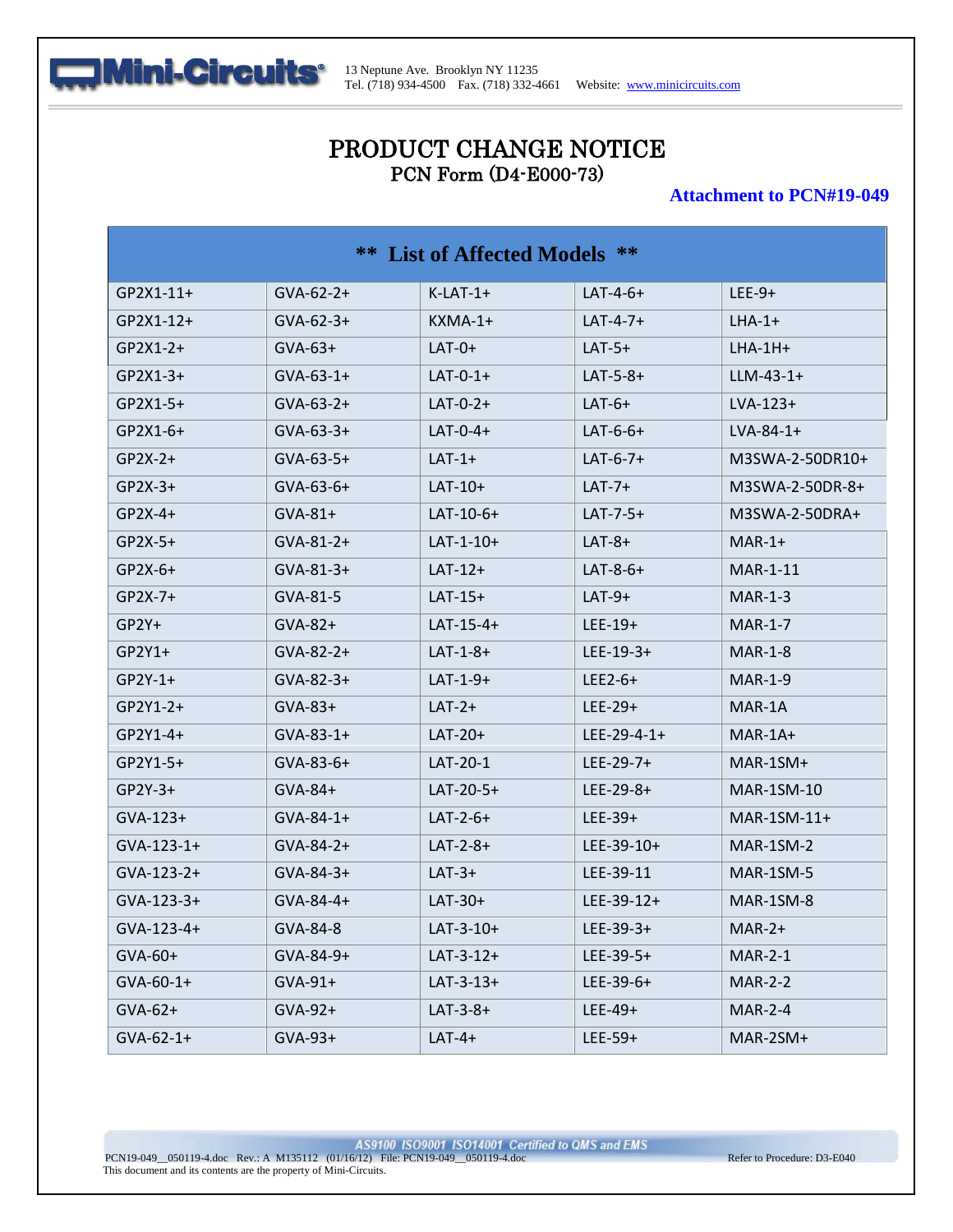

# PRODUCT CHANGE NOTICE PCN Form (D4-E000-73)

#### **Attachment to PCN#19-049**

| <b>** List of Affected Models **</b> |                  |             |               |                  |
|--------------------------------------|------------------|-------------|---------------|------------------|
| $GP2X1-11+$                          | $GVA-62-2+$      | $K-LAT-1+$  | $LAT-4-6+$    | $LEE-9+$         |
| $GP2X1-12+$                          | $GVA-62-3+$      | $KXMA-1+$   | $LAT-4-7+$    | $LHA-1+$         |
| $GP2X1-2+$                           | $GVA-63+$        | $LAT-0+$    | $LAT-5+$      | $LHA-1H+$        |
| $GP2X1-3+$                           | $GVA-63-1+$      | $LAT-0-1+$  | $LAT-5-8+$    | $LLM-43-1+$      |
| $GP2X1-5+$                           | $GVA-63-2+$      | $LAT-0-2+$  | $LAT-6+$      | $LVA-123+$       |
| $GP2X1-6+$                           | $GVA-63-3+$      | $LAT-0-4+$  | $LAT-6-6+$    | $LVA-84-1+$      |
| $GP2X-2+$                            | $GVA-63-5+$      | $LAT-1+$    | $LAT-6-7+$    | M3SWA-2-50DR10+  |
| $GP2X-3+$                            | $GVA-63-6+$      | $LAT-10+$   | $LAT-7+$      | M3SWA-2-50DR-8+  |
| $GP2X-4+$                            | $GVA-81+$        | $LAT-10-6+$ | $LAT-7-5+$    | $M3SWA-2-50DRA+$ |
| $GP2X-5+$                            | $GVA-81-2+$      | $LAT-1-10+$ | $LAT-8+$      | $MAR-1+$         |
| $GP2X-6+$                            | $GVA - 81 - 3 +$ | $LAT-12+$   | $LAT-8-6+$    | MAR-1-11         |
| $GP2X-7+$                            | GVA-81-5         | $LAT-15+$   | $LAT-9+$      | $MAR-1-3$        |
| $GP2Y+$                              | $GVA-82+$        | $LAT-15-4+$ | $LEE-19+$     | <b>MAR-1-7</b>   |
| $GP2Y1+$                             | $GVA-82-2+$      | $LAT-1-8+$  | $LEE-19-3+$   | <b>MAR-1-8</b>   |
| $GP2Y-1+$                            | $GVA-82-3+$      | $LAT-1-9+$  | $LEE2-6+$     | <b>MAR-1-9</b>   |
| $GP2Y1-2+$                           | $GVA-83+$        | $LAT-2+$    | $LEE-29+$     | MAR-1A           |
| $GP2Y1-4+$                           | $GVA-83-1+$      | $LAT-20+$   | $LEE-29-4-1+$ | MAR-1A+          |
| $GP2Y1-5+$                           | $GVA-83-6+$      | LAT-20-1    | $LEE-29-7+$   | MAR-1SM+         |
| $GP2Y-3+$                            | $GVA-84+$        | $LAT-20-5+$ | $LEE-29-8+$   | MAR-1SM-10       |
| $GVA-123+$                           | $GVA-84-1+$      | $LAT-2-6+$  | $LEE-39+$     | $MAR-1SM-11+$    |
| $GVA-123-1+$                         | $GVA - 84 - 2 +$ | $LAT-2-8+$  | $LEE-39-10+$  | MAR-1SM-2        |
| $GVA-123-2+$                         | $GVA-84-3+$      | $LAT-3+$    | LEE-39-11     | MAR-1SM-5        |
| $GVA-123-3+$                         | $GVA - 84 - 4 +$ | $LAT-30+$   | $LEE-39-12+$  | MAR-1SM-8        |
| GVA-123-4+                           | GVA-84-8         | $LAT-3-10+$ | $LEE-39-3+$   | $MAR-2+$         |
| $GVA-60+$                            | $GVA-84-9+$      | $LAT-3-12+$ | $LEE-39-5+$   | <b>MAR-2-1</b>   |
| $GVA-60-1+$                          | $GVA-91+$        | $LAT-3-13+$ | $LEE-39-6+$   | MAR-2-2          |
| $GVA-62+$                            | $GVA-92+$        | $LAT-3-8+$  | $LEE-49+$     | <b>MAR-2-4</b>   |
| $GVA-62-1+$                          | $GVA-93+$        | $LAT-4+$    | $LEE-59+$     | MAR-2SM+         |

AS9100 ISO9001 ISO14001 Certified to QMS and EMS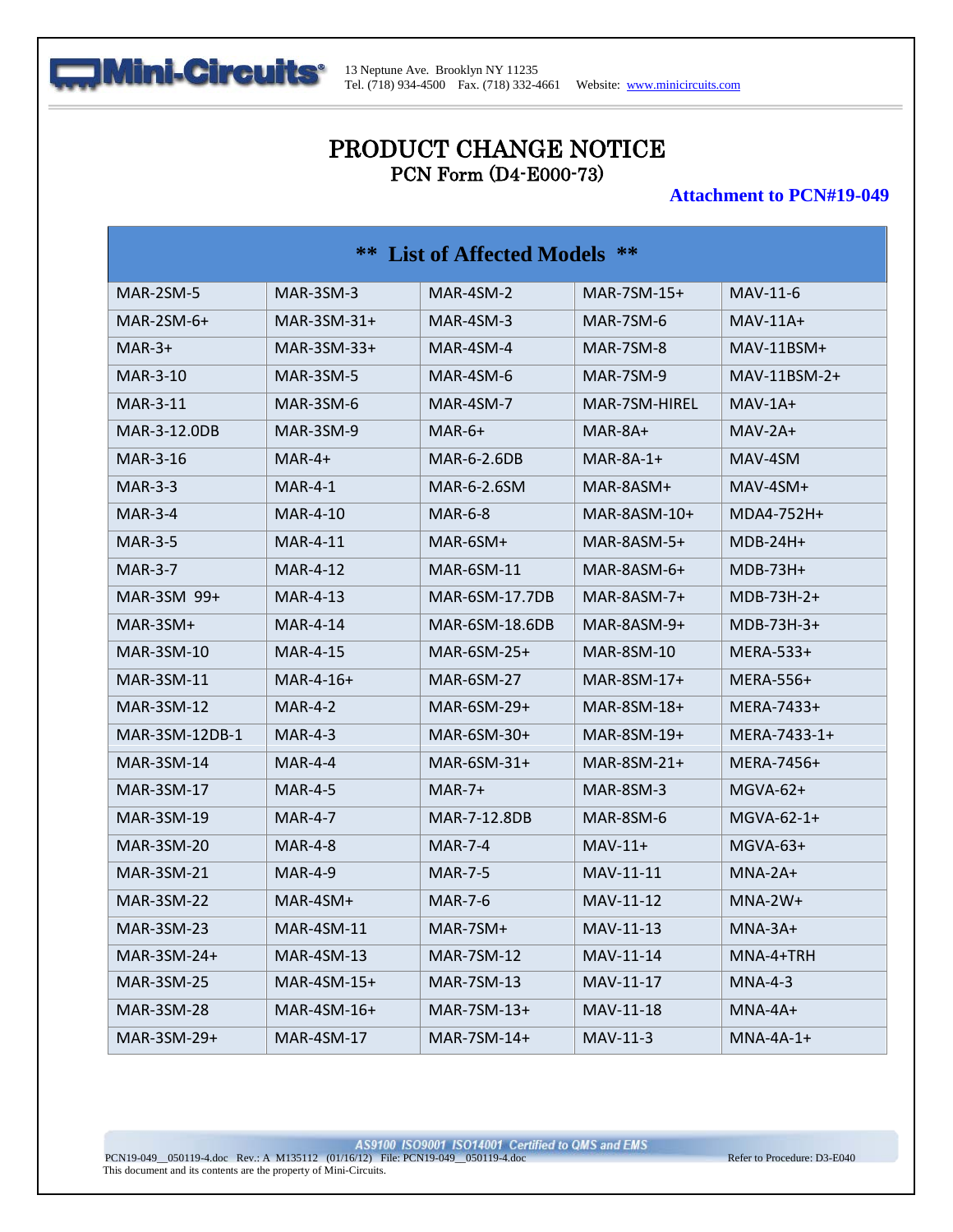

# PRODUCT CHANGE NOTICE PCN Form (D4-E000-73)

#### **Attachment to PCN#19-049**

| <b>**</b> List of Affected Models ** |                   |                   |                |                |
|--------------------------------------|-------------------|-------------------|----------------|----------------|
| MAR-2SM-5                            | $MAR-3SM-3$       | MAR-4SM-2         | $MAR-7SM-15+$  | MAV-11-6       |
| $MAR-2SM-6+$                         | $MAR-3SM-31+$     | MAR-4SM-3         | MAR-7SM-6      | $MAV-11A+$     |
| $MAR-3+$                             | $MAR-3SM-33+$     | MAR-4SM-4         | MAR-7SM-8      | $MAV-11BSM+$   |
| MAR-3-10                             | MAR-3SM-5         | MAR-4SM-6         | $MAR-7SM-9$    | $MAV-11BSM-2+$ |
| MAR-3-11                             | MAR-3SM-6         | MAR-4SM-7         | MAR-7SM-HIREL  | $MAV-1A+$      |
| MAR-3-12.0DB                         | MAR-3SM-9         | $MAR-6+$          | MAR-8A+        | $MAV-2A+$      |
| MAR-3-16                             | $MAR-4+$          | MAR-6-2.6DB       | $MAR-8A-1+$    | MAV-4SM        |
| MAR-3-3                              | MAR-4-1           | MAR-6-2.6SM       | MAR-8ASM+      | $MAV-4SM+$     |
| <b>MAR-3-4</b>                       | MAR-4-10          | <b>MAR-6-8</b>    | $MAR-8ASM-10+$ | MDA4-752H+     |
| MAR-3-5                              | MAR-4-11          | MAR-6SM+          | $MAR-8ASM-5+$  | $MDB-24H+$     |
| <b>MAR-3-7</b>                       | MAR-4-12          | MAR-6SM-11        | $MAR-8ASM-6+$  | $MDB-73H+$     |
| MAR-3SM 99+                          | MAR-4-13          | MAR-6SM-17.7DB    | $MAR-8ASM-7+$  | $MDB-73H-2+$   |
| MAR-3SM+                             | MAR-4-14          | MAR-6SM-18.6DB    | $MAR-8ASM-9+$  | $MDB-73H-3+$   |
| MAR-3SM-10                           | MAR-4-15          | MAR-6SM-25+       | MAR-8SM-10     | MERA-533+      |
| <b>MAR-3SM-11</b>                    | $MAR-4-16+$       | <b>MAR-6SM-27</b> | $MAR-8SM-17+$  | MERA-556+      |
| MAR-3SM-12                           | <b>MAR-4-2</b>    | $MAR-6SM-29+$     | MAR-8SM-18+    | MERA-7433+     |
| MAR-3SM-12DB-1                       | MAR-4-3           | $MAR-6SM-30+$     | $MAR-8SM-19+$  | MERA-7433-1+   |
| MAR-3SM-14                           | MAR-4-4           | $MAR-6SM-31+$     | $MAR-8SM-21+$  | MERA-7456+     |
| MAR-3SM-17                           | MAR-4-5           | $MAR-7+$          | MAR-8SM-3      | $MGVA-62+$     |
| MAR-3SM-19                           | MAR-4-7           | MAR-7-12.8DB      | MAR-8SM-6      | $MGVA-62-1+$   |
| <b>MAR-3SM-20</b>                    | MAR-4-8           | MAR-7-4           | $MAV-11+$      | $MGVA-63+$     |
| MAR-3SM-21                           | <b>MAR-4-9</b>    | <b>MAR-7-5</b>    | MAV-11-11      | $MNA-2A+$      |
| <b>MAR-3SM-22</b>                    | $MAR-4SM+$        | <b>MAR-7-6</b>    | MAV-11-12      | $MNA-2W+$      |
| <b>MAR-3SM-23</b>                    | <b>MAR-4SM-11</b> | $MAR-7SM+$        | MAV-11-13      | $MNA-3A+$      |
| $MAR-3SM-24+$                        | MAR-4SM-13        | <b>MAR-7SM-12</b> | MAV-11-14      | MNA-4+TRH      |
| MAR-3SM-25                           | $MAR-4SM-15+$     | <b>MAR-7SM-13</b> | MAV-11-17      | $MNA-4-3$      |
| <b>MAR-3SM-28</b>                    | $MAR-4SM-16+$     | $MAR-7SM-13+$     | MAV-11-18      | $MNA-4A+$      |
| MAR-3SM-29+                          | MAR-4SM-17        | $MAR-7SM-14+$     | MAV-11-3       | $MNA-4A-1+$    |

AS9100 ISO9001 ISO14001 Certified to QMS and EMS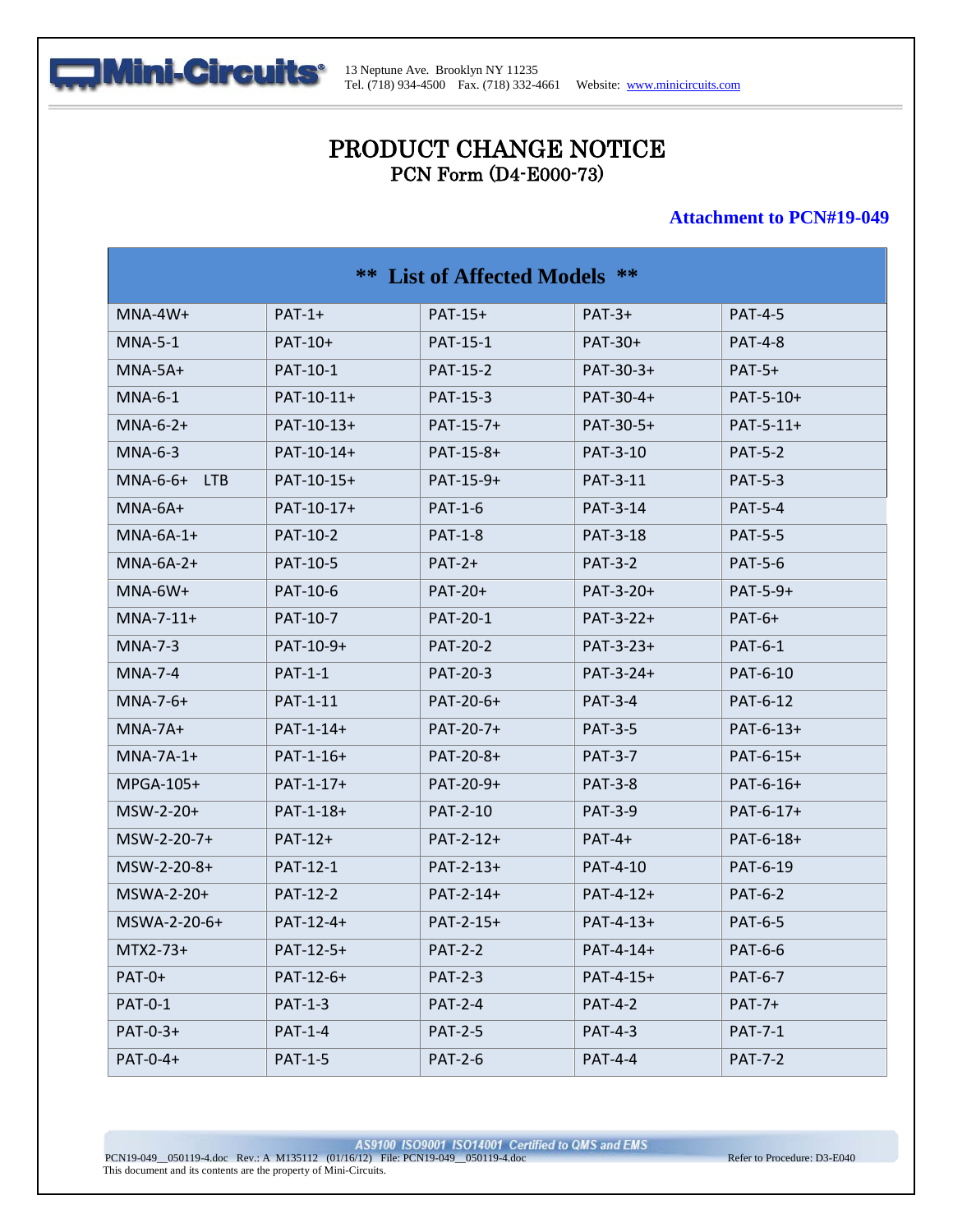

# PRODUCT CHANGE NOTICE PCN Form (D4-E000-73)

#### **Attachment to PCN#19-049**

| **<br>List of Affected Models ** |                |                 |                 |                |
|----------------------------------|----------------|-----------------|-----------------|----------------|
| $MNA-4W+$                        | $PATH-1+$      | PAT-15+         | $PAT-3+$        | <b>PAT-4-5</b> |
| MNA-5-1                          | PAT-10+        | PAT-15-1        | PAT-30+         | <b>PAT-4-8</b> |
| $MNA-5A+$                        | PAT-10-1       | <b>PAT-15-2</b> | PAT-30-3+       | $PAT-5+$       |
| $MNA-6-1$                        | PAT-10-11+     | PAT-15-3        | PAT-30-4+       | PAT-5-10+      |
| $MNA-6-2+$                       | PAT-10-13+     | PAT-15-7+       | PAT-30-5+       | $PAT-5-11+$    |
| $MNA-6-3$                        | PAT-10-14+     | PAT-15-8+       | <b>PAT-3-10</b> | <b>PAT-5-2</b> |
| $MNA-6-6+$<br>LTB                | PAT-10-15+     | PAT-15-9+       | PAT-3-11        | <b>PAT-5-3</b> |
| $MNA-6A+$                        | PAT-10-17+     | <b>PAT-1-6</b>  | PAT-3-14        | <b>PAT-5-4</b> |
| $MNA-6A-1+$                      | PAT-10-2       | <b>PAT-1-8</b>  | PAT-3-18        | <b>PAT-5-5</b> |
| $MNA-6A-2+$                      | PAT-10-5       | $PAT-2+$        | <b>PAT-3-2</b>  | <b>PAT-5-6</b> |
| $MNA-6W+$                        | PAT-10-6       | <b>PAT-20+</b>  | PAT-3-20+       | PAT-5-9+       |
| $MNA-7-11+$                      | PAT-10-7       | PAT-20-1        | PAT-3-22+       | $PAT-6+$       |
| $MNA-7-3$                        | PAT-10-9+      | <b>PAT-20-2</b> | $PAT-3-23+$     | <b>PAT-6-1</b> |
| $MNA-7-4$                        | <b>PAT-1-1</b> | PAT-20-3        | PAT-3-24+       | PAT-6-10       |
| $MNA-7-6+$                       | PAT-1-11       | PAT-20-6+       | <b>PAT-3-4</b>  | PAT-6-12       |
| $MNA-7A+$                        | PAT-1-14+      | PAT-20-7+       | <b>PAT-3-5</b>  | PAT-6-13+      |
| $MNA-7A-1+$                      | $PAT-1-16+$    | PAT-20-8+       | <b>PAT-3-7</b>  | PAT-6-15+      |
| $MPGA-105+$                      | $PAT-1-17+$    | PAT-20-9+       | <b>PAT-3-8</b>  | PAT-6-16+      |
| $MSW-2-20+$                      | PAT-1-18+      | PAT-2-10        | <b>PAT-3-9</b>  | PAT-6-17+      |
| $MSW-2-20-7+$                    | $PAT-12+$      | $PAT-2-12+$     | $PAT-4+$        | PAT-6-18+      |
| MSW-2-20-8+                      | PAT-12-1       | $PAT-2-13+$     | PAT-4-10        | PAT-6-19       |
| $MSWA-2-20+$                     | PAT-12-2       | PAT-2-14+       | PAT-4-12+       | <b>PAT-6-2</b> |
| $MSWA-2-20-6+$                   | PAT-12-4+      | PAT-2-15+       | $PAT-4-13+$     | <b>PAT-6-5</b> |
| MTX2-73+                         | PAT-12-5+      | <b>PAT-2-2</b>  | PAT-4-14+       | PAT-6-6        |
| $PAT-0+$                         | $PAT-12-6+$    | <b>PAT-2-3</b>  | PAT-4-15+       | <b>PAT-6-7</b> |
| <b>PAT-0-1</b>                   | <b>PAT-1-3</b> | <b>PAT-2-4</b>  | <b>PAT-4-2</b>  | $PAT-7+$       |
| PAT-0-3+                         | <b>PAT-1-4</b> | <b>PAT-2-5</b>  | <b>PAT-4-3</b>  | <b>PAT-7-1</b> |
| PAT-0-4+                         | <b>PAT-1-5</b> | <b>PAT-2-6</b>  | <b>PAT-4-4</b>  | <b>PAT-7-2</b> |

AS9100 ISO9001 ISO14001 Certified to QMS and EMS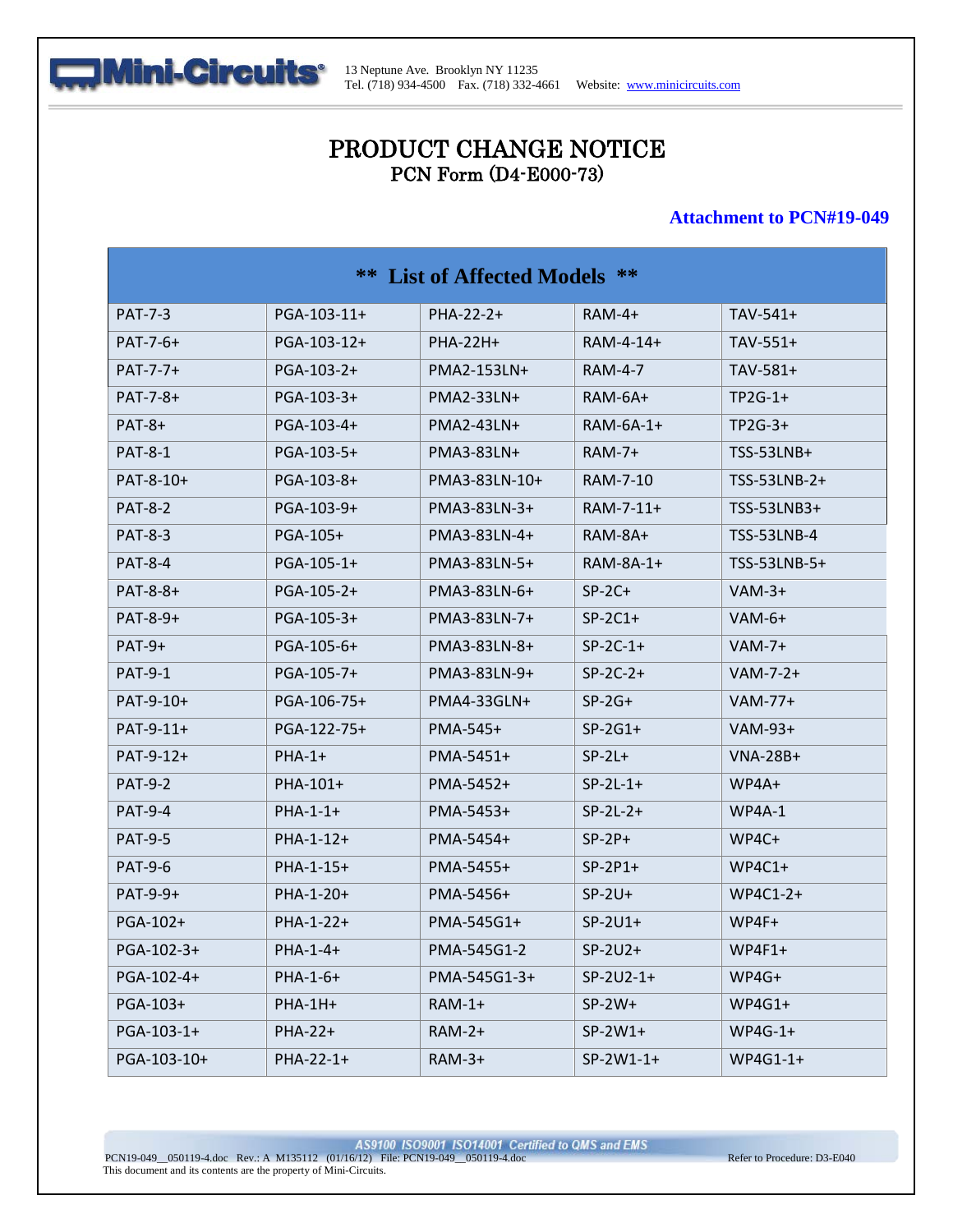

# PRODUCT CHANGE NOTICE PCN Form (D4-E000-73)

#### **Attachment to PCN#19-049**

| List of Affected Models **<br>** |             |               |                |                 |
|----------------------------------|-------------|---------------|----------------|-----------------|
| <b>PAT-7-3</b>                   | PGA-103-11+ | PHA-22-2+     | $RAM-4+$       | $TAV-541+$      |
| PAT-7-6+                         | PGA-103-12+ | PHA-22H+      | RAM-4-14+      | $TAV-551+$      |
| PAT-7-7+                         | PGA-103-2+  | PMA2-153LN+   | <b>RAM-4-7</b> | TAV-581+        |
| PAT-7-8+                         | PGA-103-3+  | PMA2-33LN+    | RAM-6A+        | $TP2G-1+$       |
| $PAT-8+$                         | PGA-103-4+  | PMA2-43LN+    | $RAM-6A-1+$    | $TP2G-3+$       |
| <b>PAT-8-1</b>                   | PGA-103-5+  | PMA3-83LN+    | <b>RAM-7+</b>  | TSS-53LNB+      |
| PAT-8-10+                        | PGA-103-8+  | PMA3-83LN-10+ | RAM-7-10       | TSS-53LNB-2+    |
| <b>PAT-8-2</b>                   | PGA-103-9+  | PMA3-83LN-3+  | RAM-7-11+      | TSS-53LNB3+     |
| <b>PAT-8-3</b>                   | PGA-105+    | PMA3-83LN-4+  | RAM-8A+        | TSS-53LNB-4     |
| <b>PAT-8-4</b>                   | PGA-105-1+  | PMA3-83LN-5+  | RAM-8A-1+      | TSS-53LNB-5+    |
| PAT-8-8+                         | PGA-105-2+  | PMA3-83LN-6+  | $SP-2C+$       | $VAM-3+$        |
| PAT-8-9+                         | PGA-105-3+  | PMA3-83LN-7+  | $SP-2C1+$      | $VAM-6+$        |
| $PAT-9+$                         | PGA-105-6+  | PMA3-83LN-8+  | $SP-2C-1+$     | $VAM-7+$        |
| <b>PAT-9-1</b>                   | PGA-105-7+  | PMA3-83LN-9+  | $SP-2C-2+$     | $VAM-7-2+$      |
| PAT-9-10+                        | PGA-106-75+ | PMA4-33GLN+   | $SP-2G+$       | $VAM-77+$       |
| PAT-9-11+                        | PGA-122-75+ | PMA-545+      | $SP-2G1+$      | VAM-93+         |
| PAT-9-12+                        | $PHA-1+$    | PMA-5451+     | $SP-2L+$       | <b>VNA-28B+</b> |
| <b>PAT-9-2</b>                   | PHA-101+    | PMA-5452+     | $SP-2L-1+$     | $WP4A+$         |
| <b>PAT-9-4</b>                   | $PHA-1-1+$  | PMA-5453+     | $SP-2L-2+$     | $WP4A-1$        |
| <b>PAT-9-5</b>                   | $PHA-1-12+$ | PMA-5454+     | $SP-2P+$       | $WP4C+$         |
| <b>PAT-9-6</b>                   | PHA-1-15+   | PMA-5455+     | $SP-2P1+$      | $WP4C1+$        |
| PAT-9-9+                         | PHA-1-20+   | PMA-5456+     | $SP-2U+$       | WP4C1-2+        |
| PGA-102+                         | PHA-1-22+   | PMA-545G1+    | $SP-2U1+$      | WP4F+           |
| PGA-102-3+                       | PHA-1-4+    | PMA-545G1-2   | $SP-2U2+$      | $WP4F1+$        |
| PGA-102-4+                       | PHA-1-6+    | PMA-545G1-3+  | $SP-2U2-1+$    | WP4G+           |
| PGA-103+                         | PHA-1H+     | $RAM-1+$      | $SP-2W+$       | $WP4G1+$        |
| PGA-103-1+                       | PHA-22+     | $RAM-2+$      | $SP-2W1+$      | $WP4G-1+$       |
| PGA-103-10+                      | PHA-22-1+   | $RAM-3+$      | SP-2W1-1+      | WP4G1-1+        |

AS9100 ISO9001 ISO14001 Certified to QMS and EMS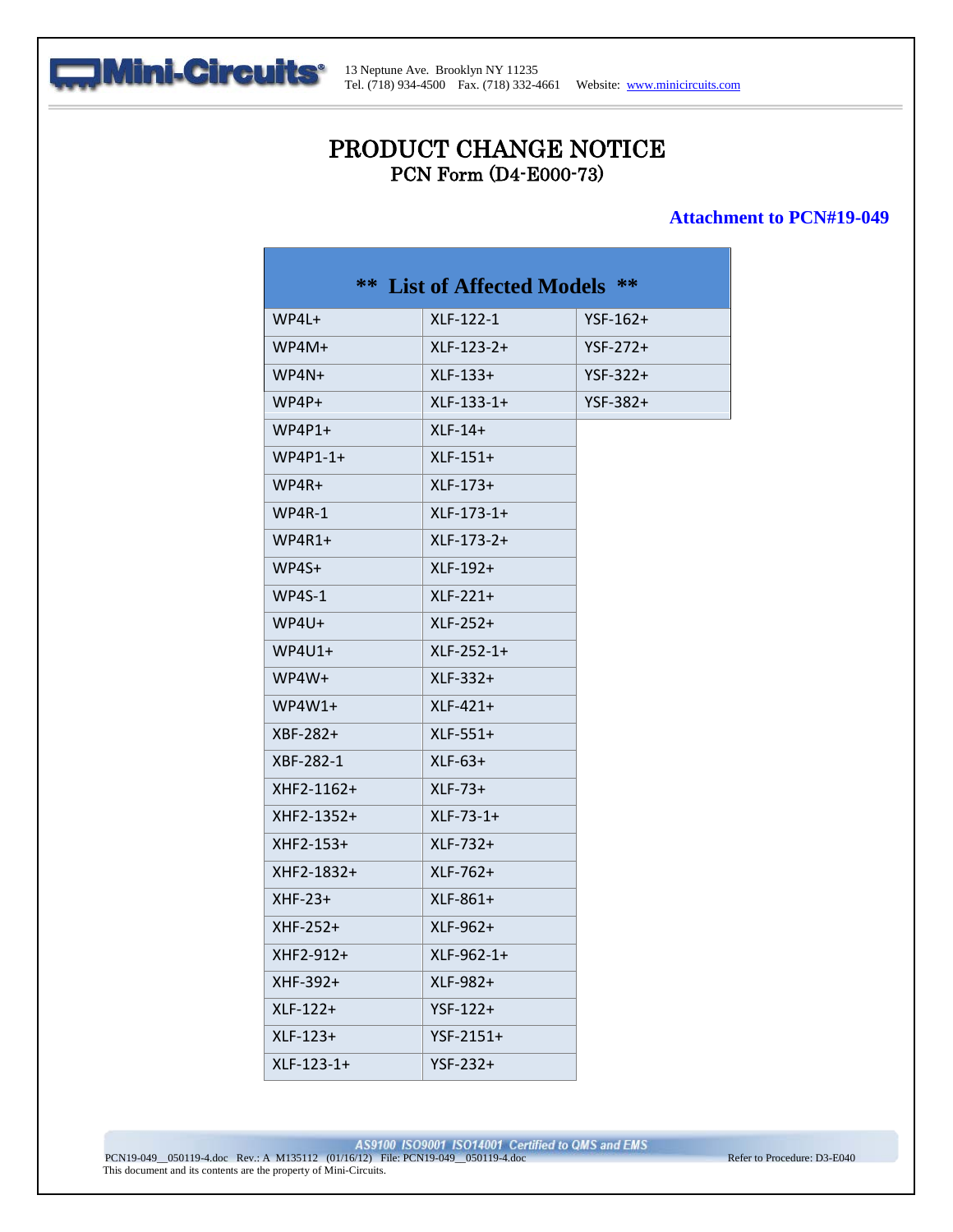

# PRODUCT CHANGE NOTICE PCN Form (D4-E000-73)

#### **Attachment to PCN#19-049**

| WP4L+      | XLF-122-1    | $YSF-162+$ |
|------------|--------------|------------|
| WP4M+      | $XLF-123-2+$ | $YSF-272+$ |
| $WPAN+$    | $XLF-133+$   | $YSF-322+$ |
| $WP4P+$    | $XLF-133-1+$ | $YSF-382+$ |
| $WP4P1+$   | $XLF-14+$    |            |
| $WP4P1-1+$ | $XLF-151+$   |            |
| WP4R+      | $XLF-173+$   |            |
| $WP4R-1$   | $XLF-173-1+$ |            |
| $WP4R1+$   | XLF-173-2+   |            |
| WP4S+      | $XLF-192+$   |            |
| $WP4S-1$   | $XLF-221+$   |            |
| WP4U+      | $XLF-252+$   |            |
| $WP4U1+$   | $XLF-252-1+$ |            |
| WP4W+      | XLF-332+     |            |
| $WP4W1+$   | $XLF-421+$   |            |
| $XBF-282+$ | $XLF-551+$   |            |
| XBF-282-1  | $XLF-63+$    |            |
| XHF2-1162+ | $XLF-73+$    |            |
| XHF2-1352+ | $XLF-73-1+$  |            |
| XHF2-153+  | $XLF-732+$   |            |
| XHF2-1832+ | $XLF-762+$   |            |
| $XHF-23+$  | $XLF-861+$   |            |
| XHF-252+   | XLF-962+     |            |
| XHF2-912+  | XLF-962-1+   |            |
| XHF-392+   | XLF-982+     |            |
| XLF-122+   | $YSF-122+$   |            |
| XLF-123+   | $YSF-2151+$  |            |
| XLF-123-1+ | $YSF-232+$   |            |

AS9100 ISO9001 ISO14001 Certified to QMS and EMS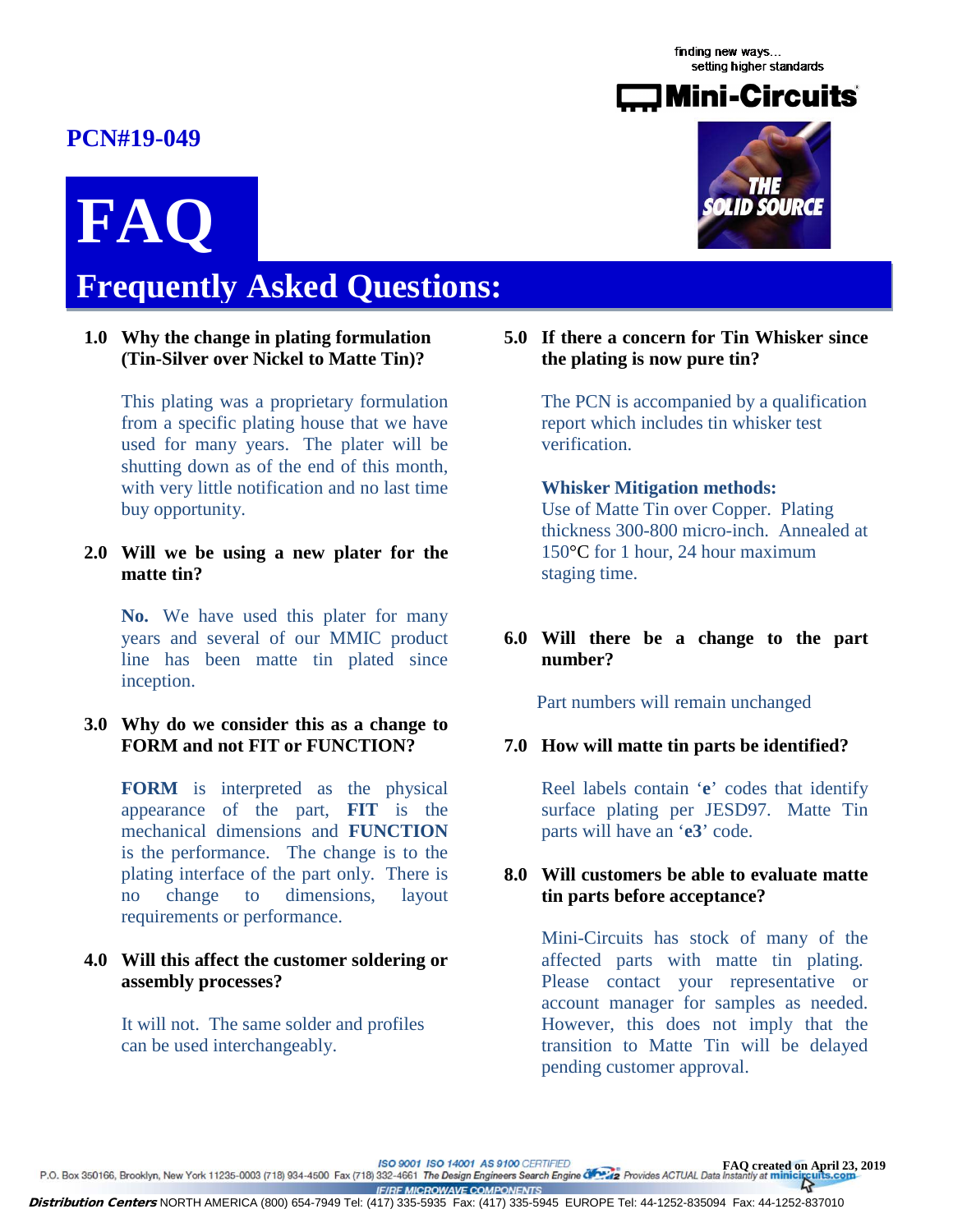finding new ways... setting higher standards

<span id="page-8-0"></span>

# **Frequently Asked Questions: FAQ**

### **1.0 Why the change in plating formulation (Tin-Silver over Nickel to Matte Tin)?**

This plating was a proprietary formulation from a specific plating house that we have used for many years. The plater will be shutting down as of the end of this month, with very little notification and no last time buy opportunity.

**2.0 Will we be using a new plater for the matte tin?**

**No.** We have used this plater for many years and several of our MMIC product line has been matte tin plated since inception.

### **3.0 Why do we consider this as a change to FORM and not FIT or FUNCTION?**

**FORM** is interpreted as the physical appearance of the part, **FIT** is the mechanical dimensions and **FUNCTION** is the performance. The change is to the plating interface of the part only. There is no change to dimensions, layout requirements or performance.

### **4.0 Will this affect the customer soldering or assembly processes?**

 It will not. The same solder and profiles can be used interchangeably.



**5.0 If there a concern for Tin Whisker since the plating is now pure tin?**

> The PCN is accompanied by a qualification report which includes tin whisker test verification.

# **Whisker Mitigation methods:**

Use of Matte Tin over Copper. Plating thickness 300-800 micro-inch. Annealed at 150°C for 1 hour, 24 hour maximum staging time.

### **6.0 Will there be a change to the part number?**

Part numbers will remain unchanged

### **7.0 How will matte tin parts be identified?**

Reel labels contain '**e**' codes that identify surface plating per JESD97. Matte Tin parts will have an '**e3**' code.

### **8.0 Will customers be able to evaluate matte tin parts before acceptance?**

Mini-Circuits has stock of many of the affected parts with matte tin plating. Please contact your representative or account manager for samples as needed. However, this does not imply that the transition to Matte Tin will be delayed pending customer approval.

ISO 9001 ISO 14001 AS 9100 CERTIFIED

FAQ created on April 23, 2019<br>P.O. Box 350166, Brooklyn, New York 11235-0003 (718) 934-4500 Fax (718) 332-4661 The Design Engineers Search Engine 20, 2019<br>Provides ACTUAL Data Instantly at minicircuits.com  $\overline{A}$ **IF/RF MICROWAVE COMPONENTS** 

Distribution Centers NORTH AMERICA (800) 654-7949 Tel: (417) 335-5935 Fax: (417) 335-5945 EUROPE Tel: 44-1252-835094 Fax: 44-1252-837010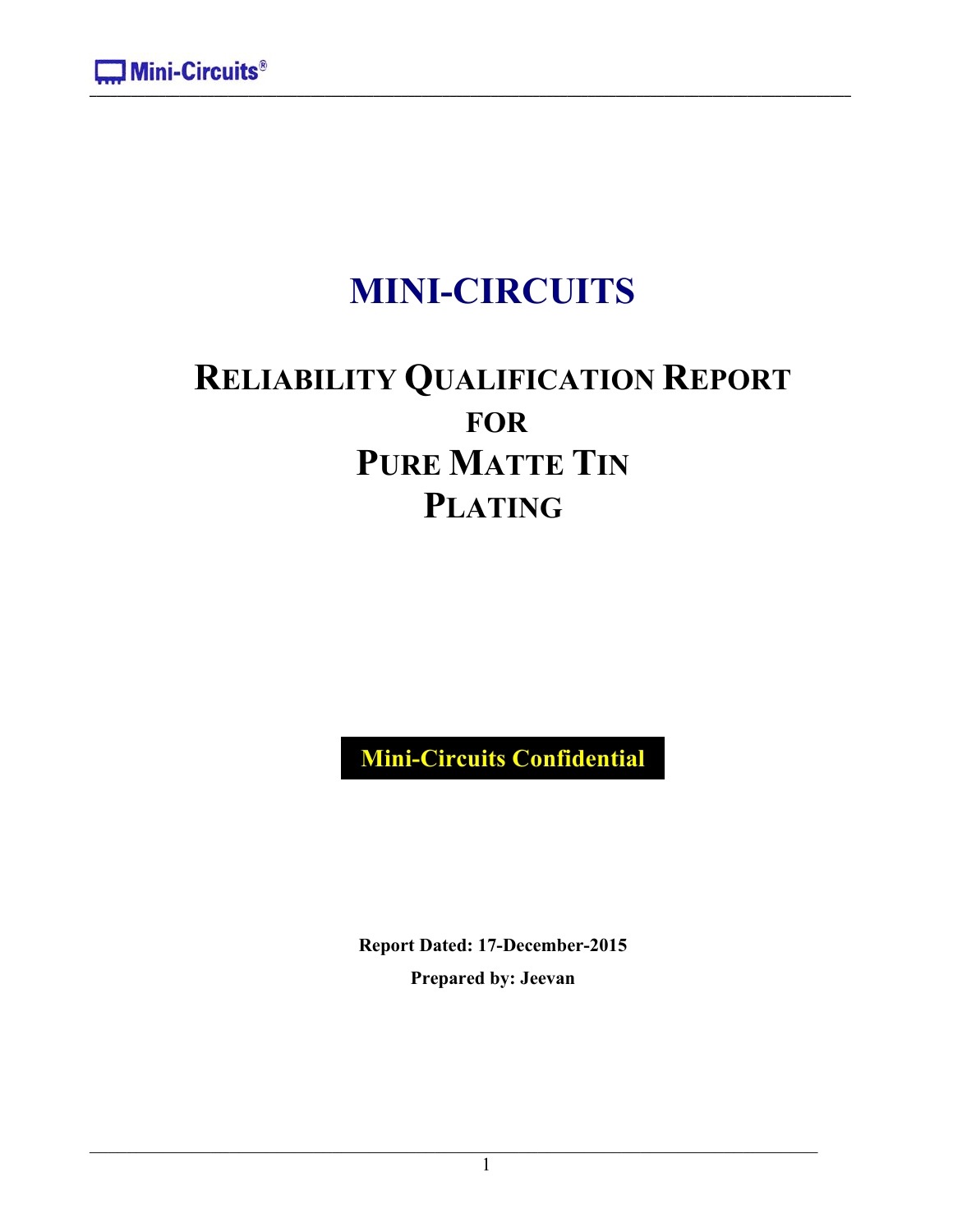# **MINI-CIRCUITS**

# **RELIABILITY QUALIFICATION REPORT FOR PURE MATTE TIN PLATING**

**Mini-Circuits Confidential**

**Report Dated: 17-December-2015 Prepared by: Jeevan**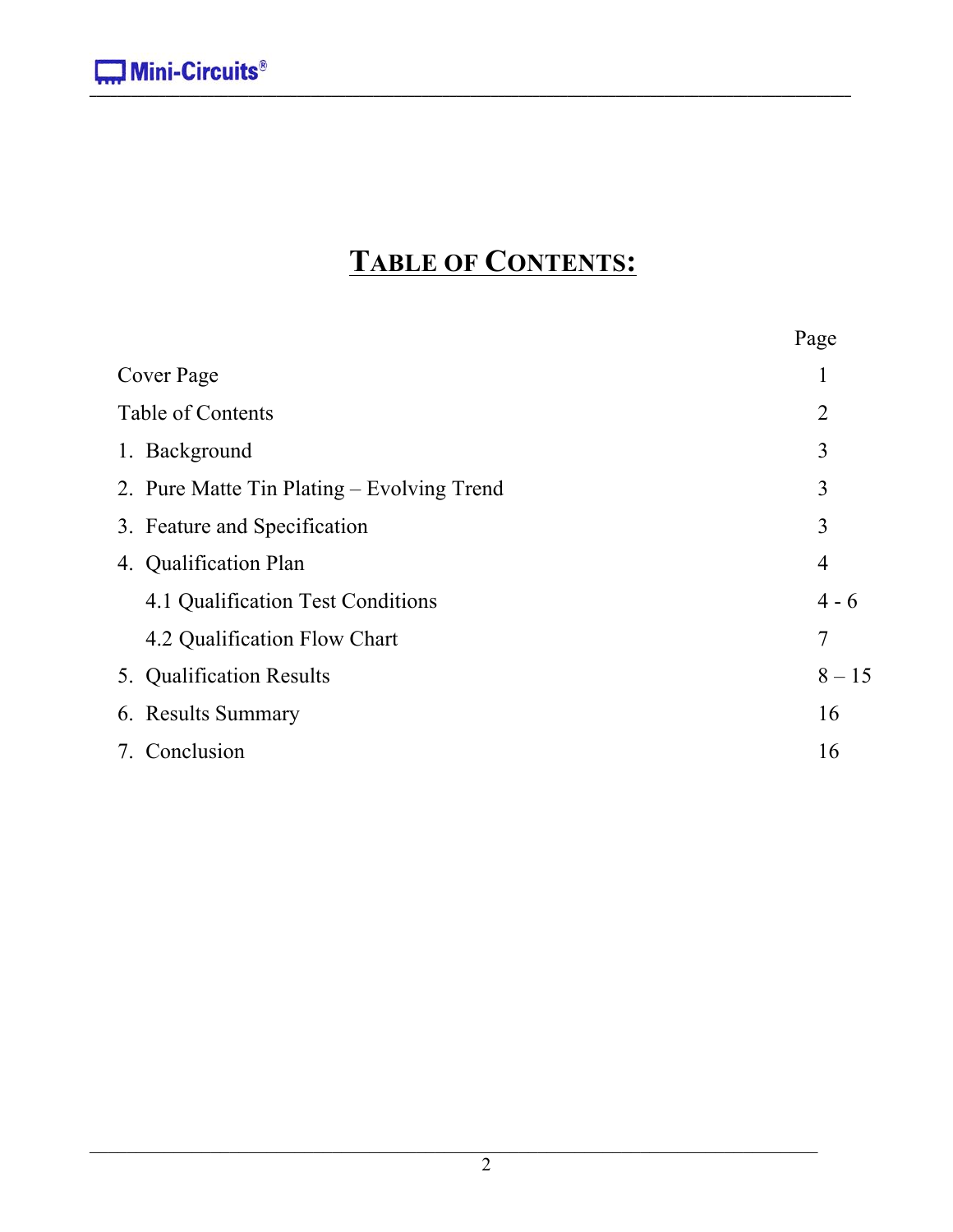# **TABLE OF CONTENTS:**

|                                            | Page           |
|--------------------------------------------|----------------|
| Cover Page                                 | 1              |
| Table of Contents                          | $\overline{2}$ |
| 1. Background                              | $\overline{3}$ |
| 2. Pure Matte Tin Plating – Evolving Trend | 3              |
| 3. Feature and Specification               | 3              |
| 4. Qualification Plan                      | $\overline{4}$ |
| 4.1 Qualification Test Conditions          | $4 - 6$        |
| 4.2 Qualification Flow Chart               | 7              |
| 5. Qualification Results                   | $8 - 15$       |
| 6. Results Summary                         | 16             |
| 7. Conclusion                              | 16             |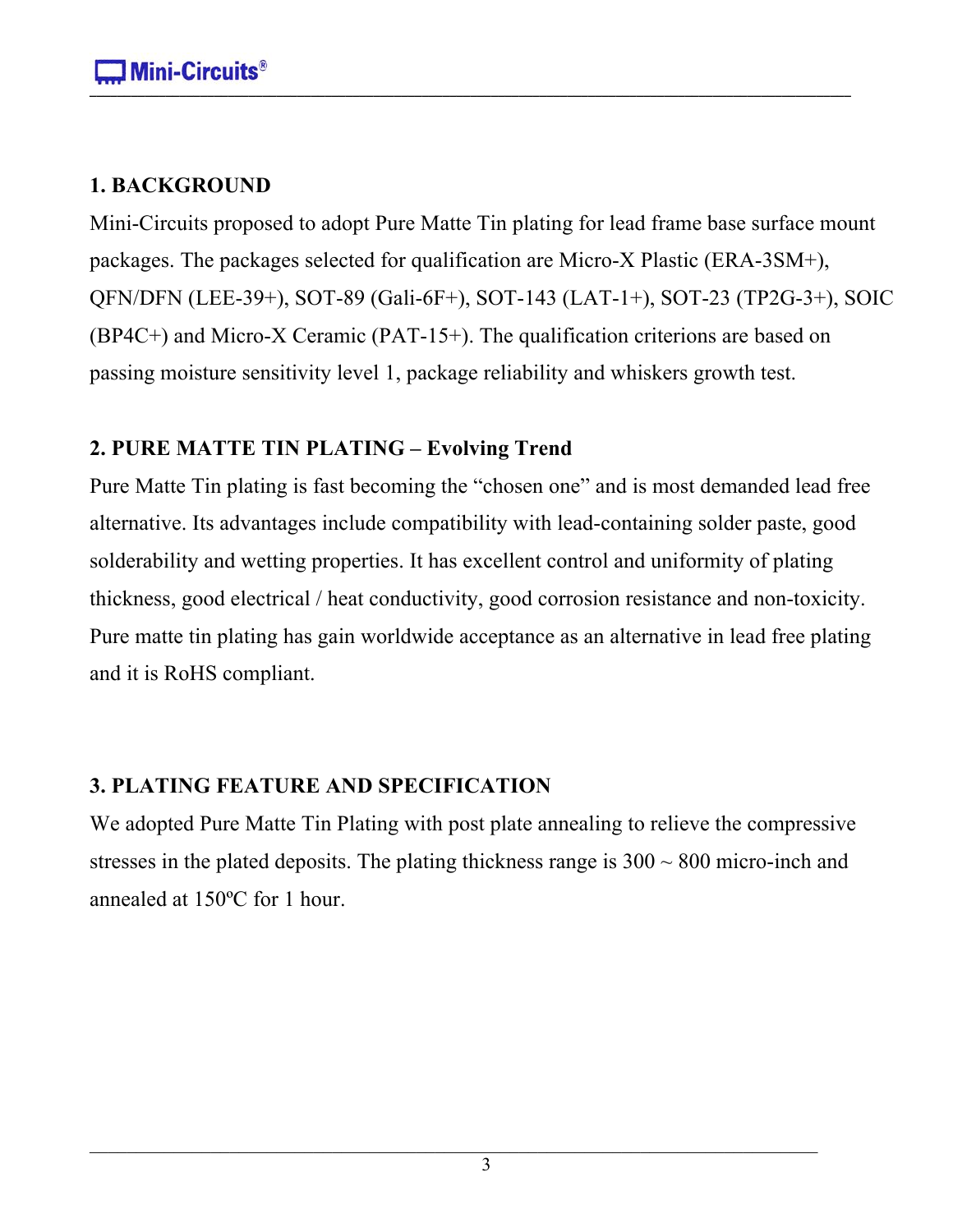# **1. BACKGROUND**

Mini-Circuits proposed to adopt Pure Matte Tin plating for lead frame base surface mount packages. The packages selected for qualification are Micro-X Plastic (ERA-3SM+), QFN/DFN (LEE-39+), SOT-89 (Gali-6F+), SOT-143 (LAT-1+), SOT-23 (TP2G-3+), SOIC (BP4C+) and Micro-X Ceramic (PAT-15+). The qualification criterions are based on passing moisture sensitivity level 1, package reliability and whiskers growth test.

# **2. PURE MATTE TIN PLATING – Evolving Trend**

Pure Matte Tin plating is fast becoming the "chosen one" and is most demanded lead free alternative. Its advantages include compatibility with lead-containing solder paste, good solderability and wetting properties. It has excellent control and uniformity of plating thickness, good electrical / heat conductivity, good corrosion resistance and non-toxicity. Pure matte tin plating has gain worldwide acceptance as an alternative in lead free plating and it is RoHS compliant.

# **3. PLATING FEATURE AND SPECIFICATION**

We adopted Pure Matte Tin Plating with post plate annealing to relieve the compressive stresses in the plated deposits. The plating thickness range is  $300 \sim 800$  micro-inch and annealed at 150ºC for 1 hour.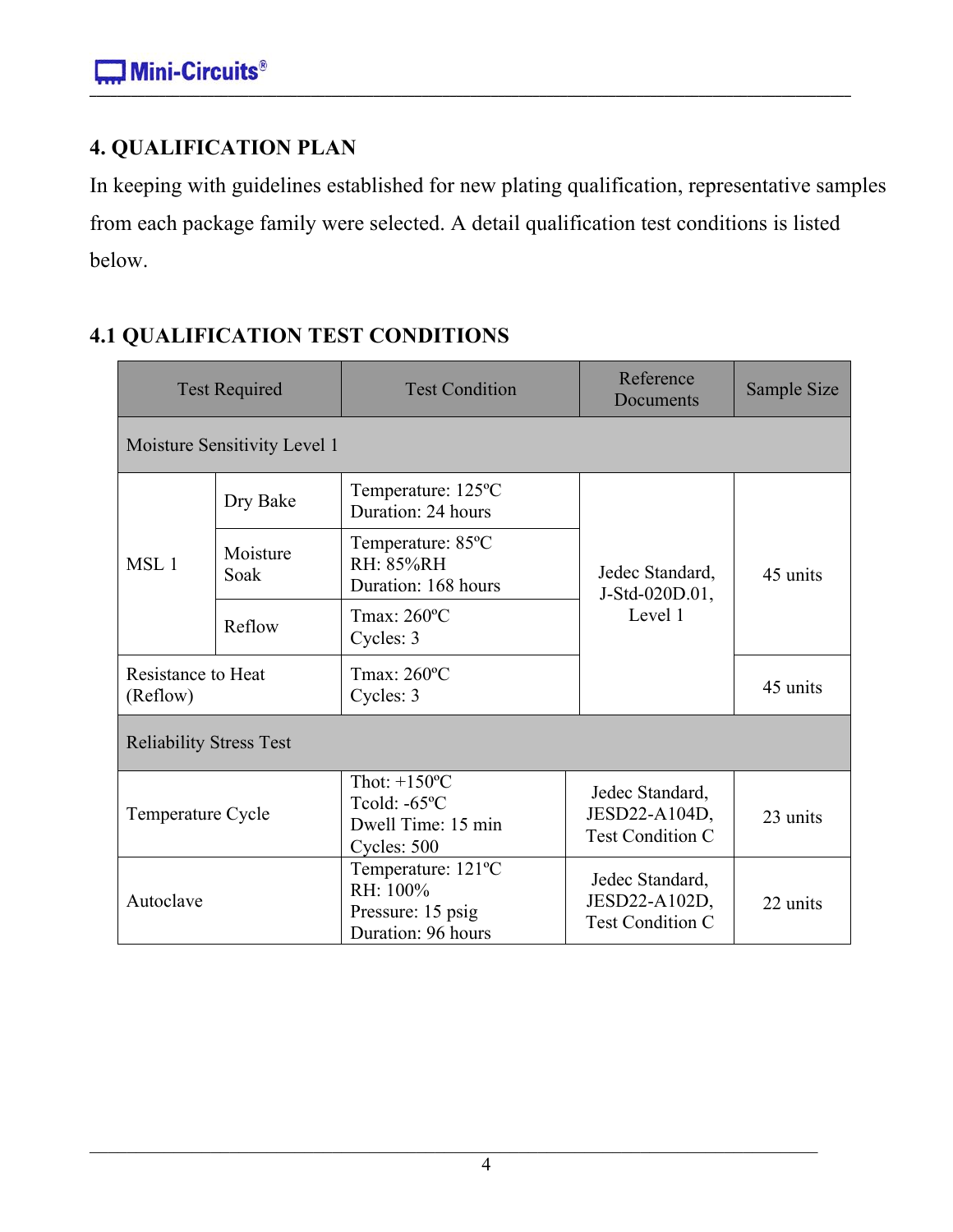# **4. QUALIFICATION PLAN**

In keeping with guidelines established for new plating qualification, representative samples from each package family were selected. A detail qualification test conditions is listed below.

# **4.1 QUALIFICATION TEST CONDITIONS**

|                                                | <b>Test Required</b>                                         | <b>Test Condition</b>                                                                 | Reference<br>Documents                                      | Sample Size |  |
|------------------------------------------------|--------------------------------------------------------------|---------------------------------------------------------------------------------------|-------------------------------------------------------------|-------------|--|
|                                                | Moisture Sensitivity Level 1                                 |                                                                                       |                                                             |             |  |
|                                                | Dry Bake                                                     | Temperature: 125°C<br>Duration: 24 hours                                              |                                                             |             |  |
| Moisture<br>MSL <sub>1</sub><br>Soak<br>Reflow | Temperature: 85°C<br><b>RH: 85%RH</b><br>Duration: 168 hours | Jedec Standard,<br>J-Std-020D.01,                                                     | 45 units                                                    |             |  |
|                                                |                                                              | Tmax: 260°C<br>Cycles: 3                                                              | Level 1                                                     |             |  |
| <b>Resistance to Heat</b><br>(Reflow)          |                                                              | Tmax: 260°C<br>Cycles: 3                                                              |                                                             | 45 units    |  |
| <b>Reliability Stress Test</b>                 |                                                              |                                                                                       |                                                             |             |  |
| Temperature Cycle                              |                                                              | Thot: $+150^{\circ}$ C<br>Tcold: $-65^{\circ}$ C<br>Dwell Time: 15 min<br>Cycles: 500 | Jedec Standard,<br>JESD22-A104D,<br><b>Test Condition C</b> | 23 units    |  |
| Autoclave                                      |                                                              | Temperature: 121°C<br>RH: 100%<br>Pressure: 15 psig<br>Duration: 96 hours             | Jedec Standard,<br>JESD22-A102D,<br><b>Test Condition C</b> | 22 units    |  |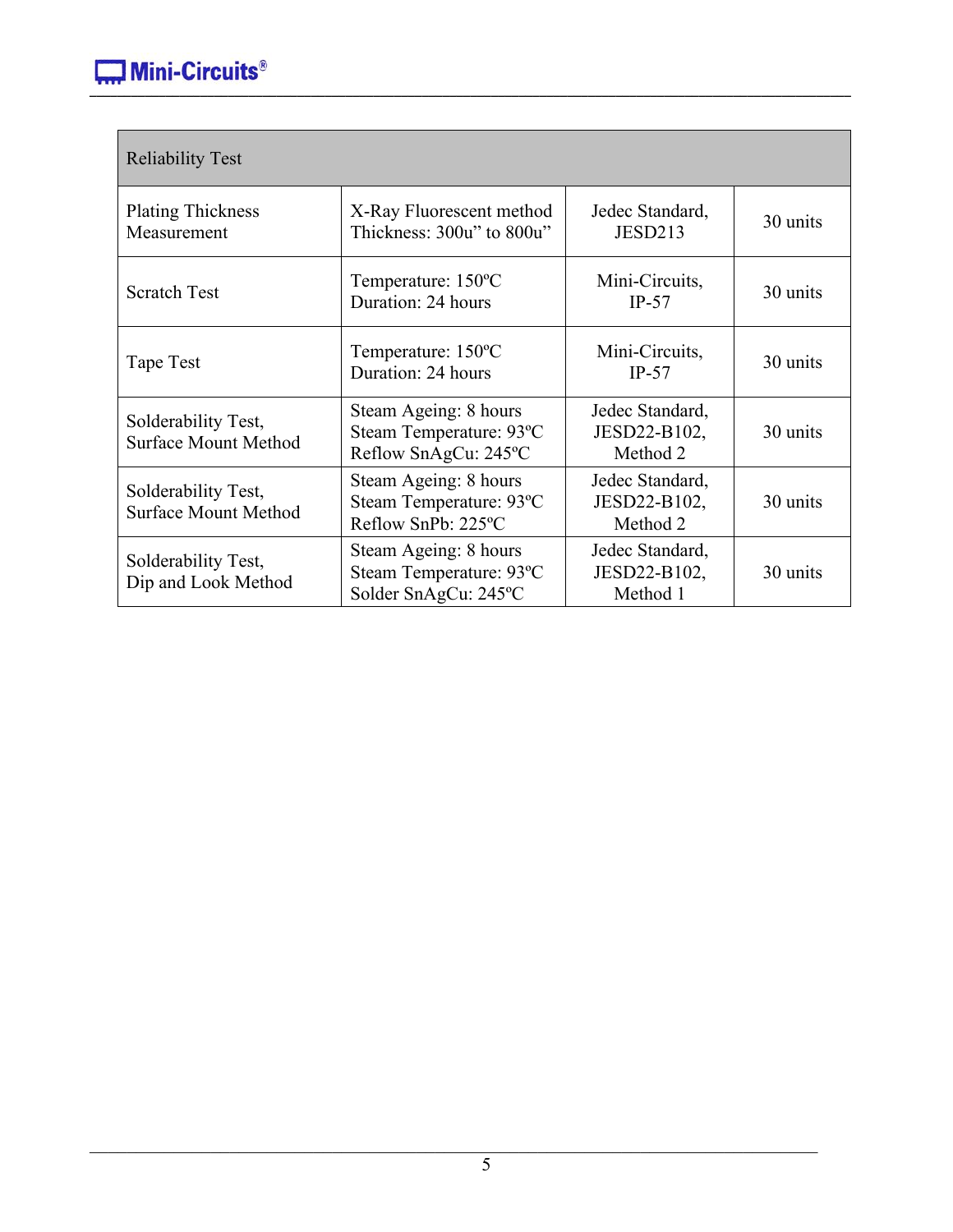| <b>Reliability Test</b>                            |                                                                          |                                             |          |  |
|----------------------------------------------------|--------------------------------------------------------------------------|---------------------------------------------|----------|--|
| <b>Plating Thickness</b><br>Measurement            | X-Ray Fluorescent method<br>Thickness: 300u" to 800u"                    | Jedec Standard,<br>JESD213                  | 30 units |  |
| <b>Scratch Test</b>                                | Temperature: 150°C<br>Duration: 24 hours                                 | Mini-Circuits,<br>$IP-57$                   | 30 units |  |
| Tape Test                                          | Temperature: 150°C<br>Duration: 24 hours                                 | Mini-Circuits,<br>$IP-57$                   | 30 units |  |
| Solderability Test,<br><b>Surface Mount Method</b> | Steam Ageing: 8 hours<br>Steam Temperature: 93°C<br>Reflow SnAgCu: 245°C | Jedec Standard,<br>JESD22-B102,<br>Method 2 | 30 units |  |
| Solderability Test,<br><b>Surface Mount Method</b> | Steam Ageing: 8 hours<br>Steam Temperature: 93°C<br>Reflow SnPb: 225°C   | Jedec Standard,<br>JESD22-B102,<br>Method 2 | 30 units |  |
| Solderability Test,<br>Dip and Look Method         | Steam Ageing: 8 hours<br>Steam Temperature: 93°C<br>Solder SnAgCu: 245°C | Jedec Standard,<br>JESD22-B102,<br>Method 1 | 30 units |  |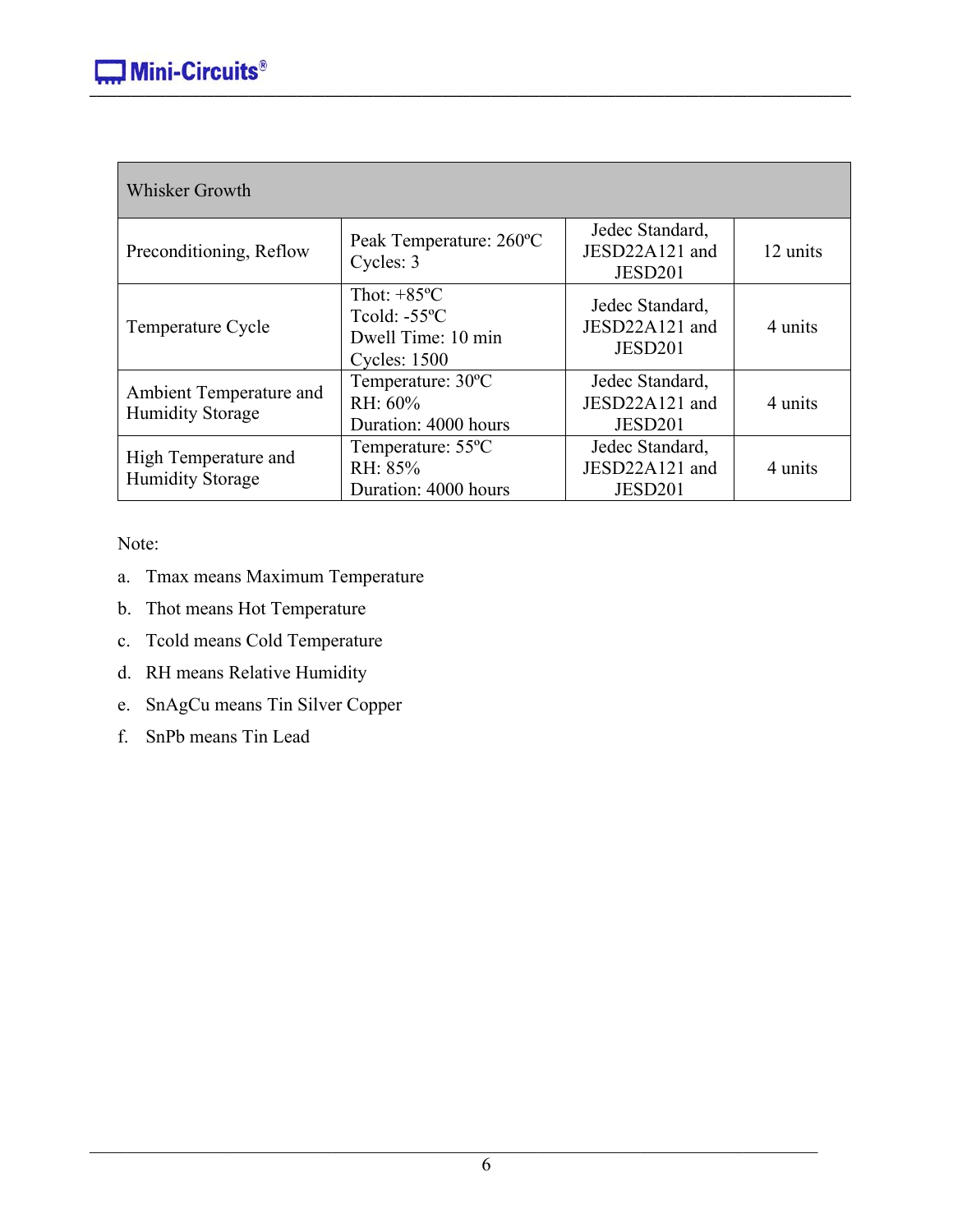| <b>Whisker Growth</b>                              |                                                                                              |                                              |          |
|----------------------------------------------------|----------------------------------------------------------------------------------------------|----------------------------------------------|----------|
| Preconditioning, Reflow                            | Peak Temperature: 260°C<br>Cycles: 3                                                         | Jedec Standard,<br>JESD22A121 and<br>JESD201 | 12 units |
| Temperature Cycle                                  | Thot: $+85^{\circ}$ C<br>Toold: $-55^{\circ}$ C<br>Dwell Time: 10 min<br><b>Cycles: 1500</b> | Jedec Standard,<br>JESD22A121 and<br>JESD201 | 4 units  |
| Ambient Temperature and<br><b>Humidity Storage</b> | Temperature: 30°C<br>RH: 60%<br>Duration: 4000 hours                                         | Jedec Standard,<br>JESD22A121 and<br>JESD201 | 4 units  |
| High Temperature and<br><b>Humidity Storage</b>    | Temperature: 55 <sup>o</sup> C<br>RH: 85%<br>Duration: 4000 hours                            | Jedec Standard,<br>JESD22A121 and<br>JESD201 | 4 units  |

Note:

- a. Tmax means Maximum Temperature
- b. Thot means Hot Temperature
- c. Tcold means Cold Temperature
- d. RH means Relative Humidity
- e. SnAgCu means Tin Silver Copper
- f. SnPb means Tin Lead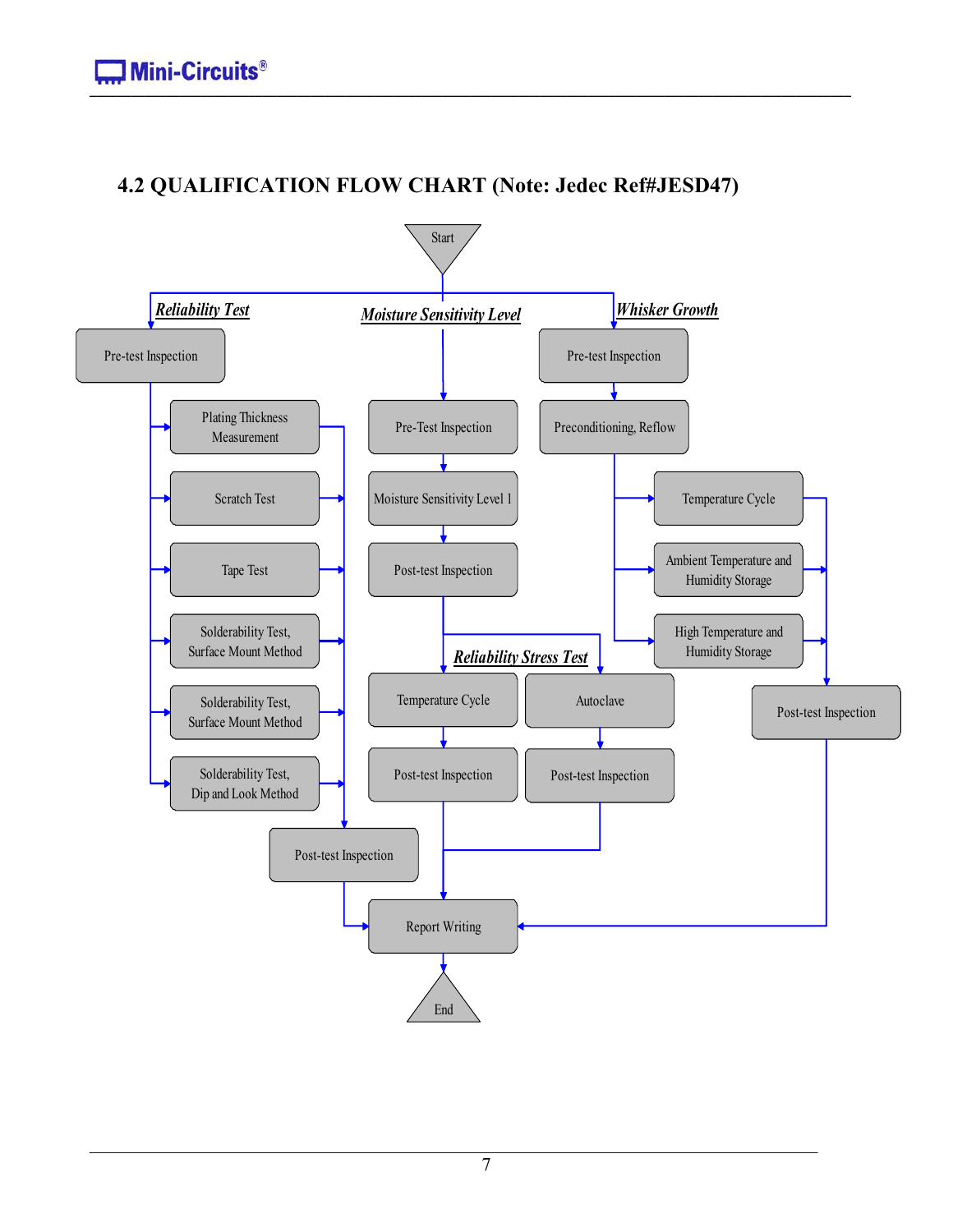# **4.2 QUALIFICATION FLOW CHART (Note: Jedec Ref#JESD47)**

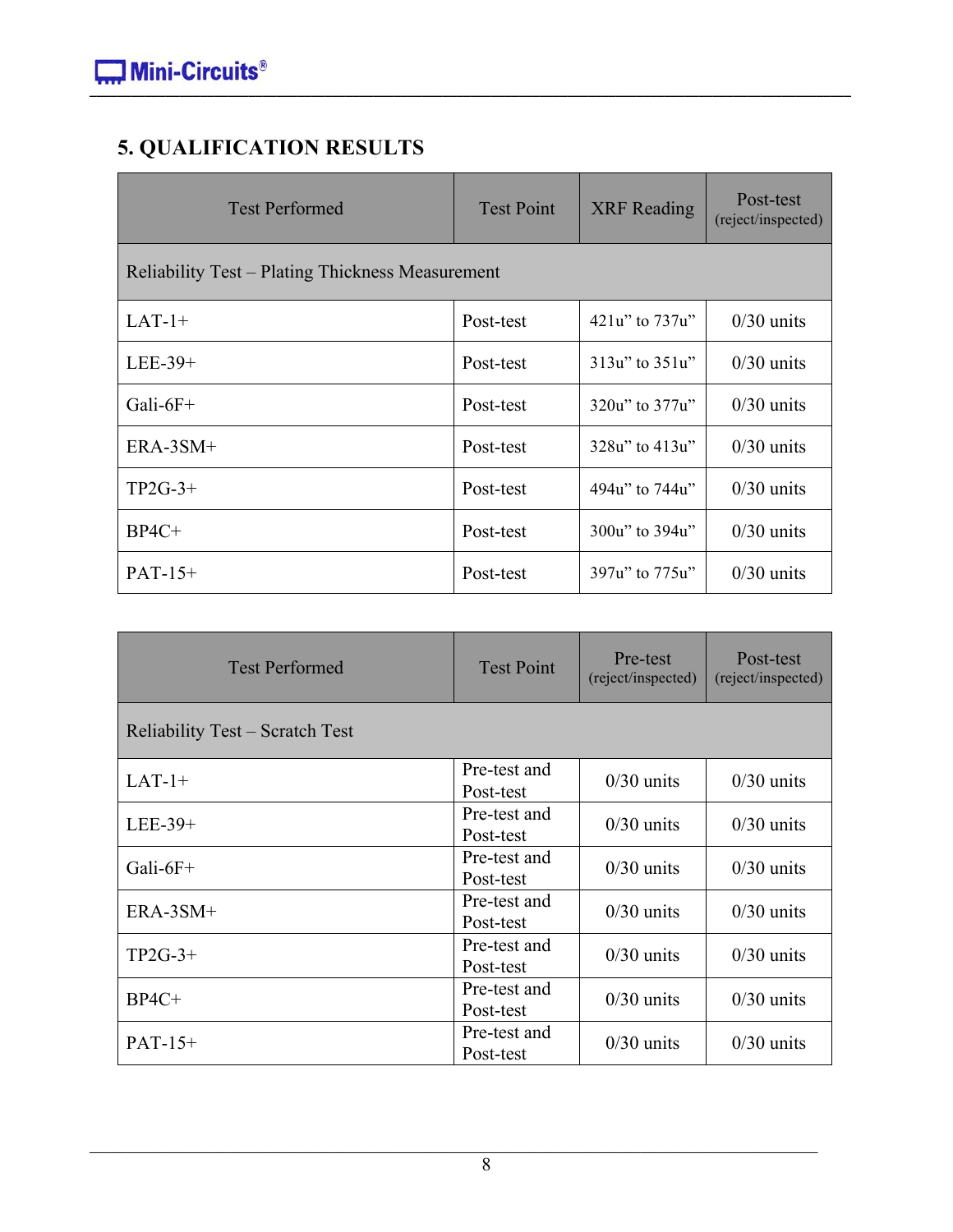# **5. QUALIFICATION RESULTS**

| <b>Test Performed</b>                            | <b>Test Point</b> | <b>XRF</b> Reading   | Post-test<br>(reject/inspected) |  |  |  |
|--------------------------------------------------|-------------------|----------------------|---------------------------------|--|--|--|
| Reliability Test – Plating Thickness Measurement |                   |                      |                                 |  |  |  |
| $LAT-1+$                                         | Post-test         | 421u" to 737u"       | $0/30$ units                    |  |  |  |
| $LEE-39+$                                        | Post-test         | $313u$ " to $351u$ " | $0/30$ units                    |  |  |  |
| Gali- $6F+$                                      | Post-test         | 320u" to 377u"       | $0/30$ units                    |  |  |  |
| ERA-3SM+                                         | Post-test         | 328u" to 413u"       | $0/30$ units                    |  |  |  |
| $TP2G-3+$                                        | Post-test         | 494u" to 744u"       | $0/30$ units                    |  |  |  |
| $BP4C+$                                          | Post-test         | 300u" to 394u"       | $0/30$ units                    |  |  |  |
| $PAT-15+$                                        | Post-test         | 397u" to 775u"       | $0/30$ units                    |  |  |  |

| <b>Test Performed</b>           | <b>Test Point</b>         | Pre-test<br>(reject/inspected) | Post-test<br>(reject/inspected) |
|---------------------------------|---------------------------|--------------------------------|---------------------------------|
| Reliability Test – Scratch Test |                           |                                |                                 |
| $LAT-1+$                        | Pre-test and<br>Post-test | $0/30$ units                   | $0/30$ units                    |
| $LEE-39+$                       | Pre-test and<br>Post-test | $0/30$ units                   | $0/30$ units                    |
| Gali- $6F+$                     | Pre-test and<br>Post-test | $0/30$ units                   | $0/30$ units                    |
| $ERA-3SM+$                      | Pre-test and<br>Post-test | $0/30$ units                   | $0/30$ units                    |
| $TP2G-3+$                       | Pre-test and<br>Post-test | $0/30$ units                   | $0/30$ units                    |
| $BP4C+$                         | Pre-test and<br>Post-test | $0/30$ units                   | $0/30$ units                    |
| $PATH-15+$                      | Pre-test and<br>Post-test | $0/30$ units                   | $0/30$ units                    |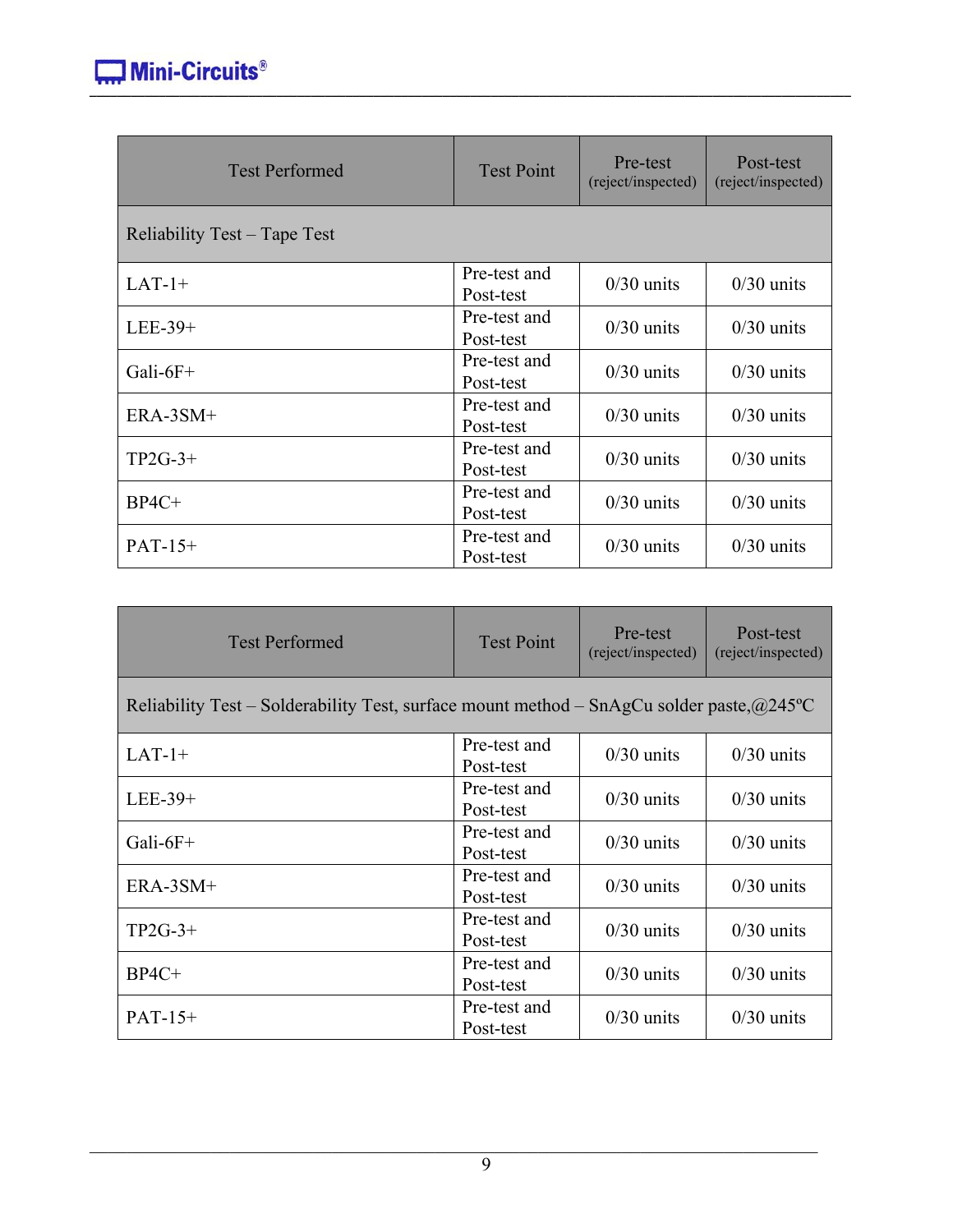| <b>Test Performed</b>        | <b>Test Point</b>         | Pre-test<br>(reject/inspected) | Post-test<br>(reject/inspected) |
|------------------------------|---------------------------|--------------------------------|---------------------------------|
| Reliability Test – Tape Test |                           |                                |                                 |
| $LAT-1+$                     | Pre-test and<br>Post-test | $0/30$ units                   | $0/30$ units                    |
| LEE-39+                      | Pre-test and<br>Post-test | $0/30$ units                   | $0/30$ units                    |
| Gali- $6F+$                  | Pre-test and<br>Post-test | $0/30$ units                   | $0/30$ units                    |
| $ERA-3SM+$                   | Pre-test and<br>Post-test | $0/30$ units                   | $0/30$ units                    |
| $TP2G-3+$                    | Pre-test and<br>Post-test | $0/30$ units                   | $0/30$ units                    |
| $BP4C+$                      | Pre-test and<br>Post-test | $0/30$ units                   | $0/30$ units                    |
| $PAT-15+$                    | Pre-test and<br>Post-test | $0/30$ units                   | $0/30$ units                    |

| <b>Test Performed</b>                                                                             | <b>Test Point</b>         | Pre-test<br>(reject/inspected) | Post-test<br>(reject/inspected) |
|---------------------------------------------------------------------------------------------------|---------------------------|--------------------------------|---------------------------------|
| Reliability Test – Solderability Test, surface mount method – SnAgCu solder paste, $\omega$ 245°C |                           |                                |                                 |
| $LAT-1+$                                                                                          | Pre-test and<br>Post-test | $0/30$ units                   | $0/30$ units                    |
| $LEE-39+$                                                                                         | Pre-test and<br>Post-test | $0/30$ units                   | $0/30$ units                    |
| Gali- $6F+$                                                                                       | Pre-test and<br>Post-test | $0/30$ units                   | $0/30$ units                    |
| $ERA-3SM+$                                                                                        | Pre-test and<br>Post-test | $0/30$ units                   | $0/30$ units                    |
| $TP2G-3+$                                                                                         | Pre-test and<br>Post-test | $0/30$ units                   | $0/30$ units                    |
| $BP4C+$                                                                                           | Pre-test and<br>Post-test | $0/30$ units                   | $0/30$ units                    |
| $PATH-15+$                                                                                        | Pre-test and<br>Post-test | $0/30$ units                   | $0/30$ units                    |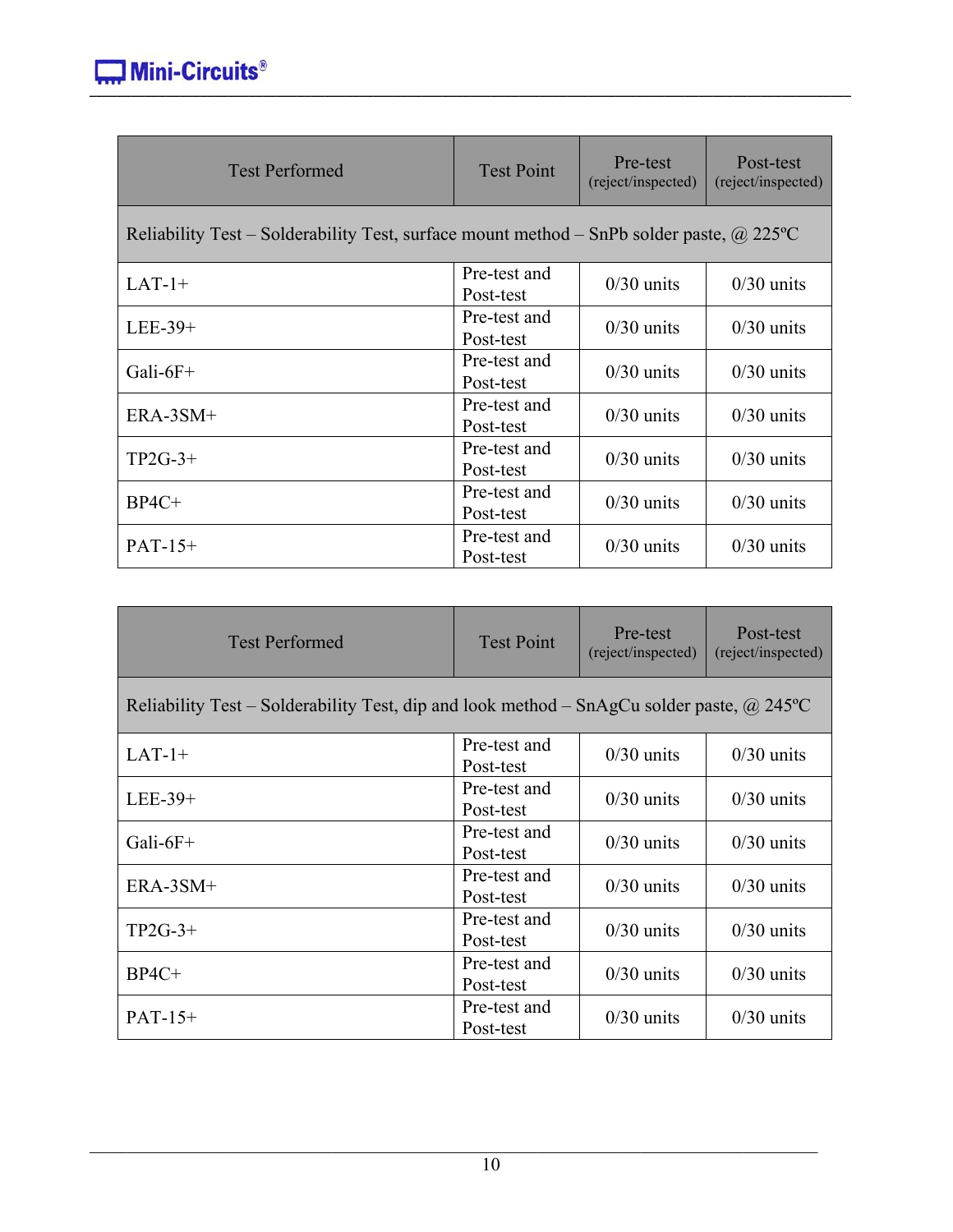| <b>Test Performed</b>                                                                           | <b>Test Point</b>         | Pre-test<br>(reject/inspected) | Post-test<br>(reject/inspected) |
|-------------------------------------------------------------------------------------------------|---------------------------|--------------------------------|---------------------------------|
| Reliability Test – Solderability Test, surface mount method – SnPb solder paste, $\omega$ 225°C |                           |                                |                                 |
| $LAT-1+$                                                                                        | Pre-test and<br>Post-test | $0/30$ units                   | $0/30$ units                    |
| $LEE-39+$                                                                                       | Pre-test and<br>Post-test | $0/30$ units                   | $0/30$ units                    |
| Gali- $6F+$                                                                                     | Pre-test and<br>Post-test | $0/30$ units                   | $0/30$ units                    |
| ERA-3SM+                                                                                        | Pre-test and<br>Post-test | $0/30$ units                   | $0/30$ units                    |
| $TP2G-3+$                                                                                       | Pre-test and<br>Post-test | $0/30$ units                   | $0/30$ units                    |
| $BP4C+$                                                                                         | Pre-test and<br>Post-test | $0/30$ units                   | $0/30$ units                    |
| $PATH-15+$                                                                                      | Pre-test and<br>Post-test | $0/30$ units                   | $0/30$ units                    |

| <b>Test Performed</b>                                                                            | <b>Test Point</b>         | Pre-test<br>(reject/inspected) | Post-test<br>(reject/inspected) |  |  |
|--------------------------------------------------------------------------------------------------|---------------------------|--------------------------------|---------------------------------|--|--|
| Reliability Test – Solderability Test, dip and look method – SnAgCu solder paste, $\omega$ 245°C |                           |                                |                                 |  |  |
| $LAT-1+$                                                                                         | Pre-test and<br>Post-test | $0/30$ units                   | $0/30$ units                    |  |  |
| $LEE-39+$                                                                                        | Pre-test and<br>Post-test | $0/30$ units                   | $0/30$ units                    |  |  |
| Gali- $6F+$                                                                                      | Pre-test and<br>Post-test | $0/30$ units                   | $0/30$ units                    |  |  |
| ERA-3SM+                                                                                         | Pre-test and<br>Post-test | $0/30$ units                   | $0/30$ units                    |  |  |
| $TP2G-3+$                                                                                        | Pre-test and<br>Post-test | $0/30$ units                   | $0/30$ units                    |  |  |
| $BP4C+$                                                                                          | Pre-test and<br>Post-test | $0/30$ units                   | $0/30$ units                    |  |  |
| $PAT-15+$                                                                                        | Pre-test and<br>Post-test | $0/30$ units                   | $0/30$ units                    |  |  |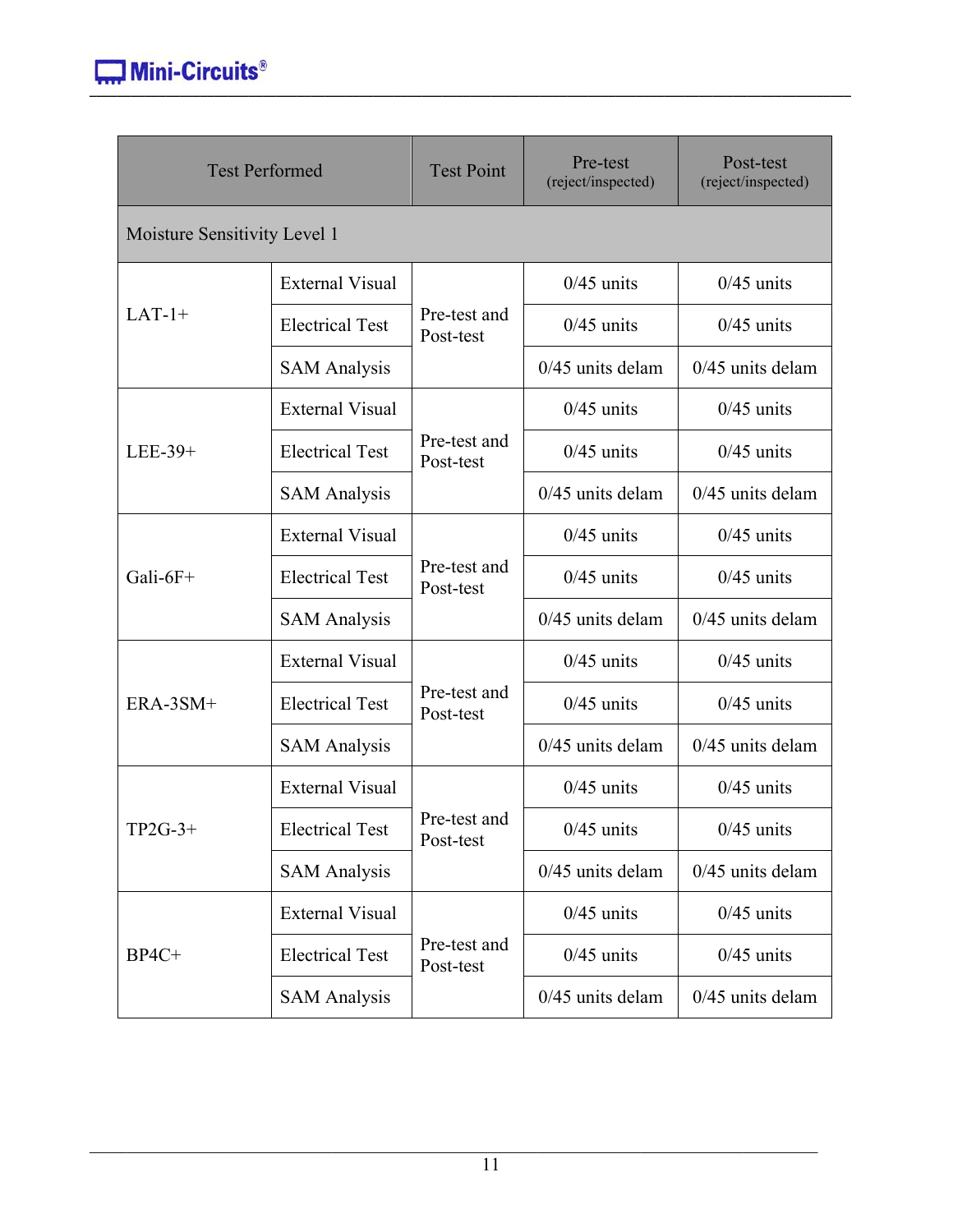| <b>Test Performed</b>        |                        | <b>Test Point</b>         | Pre-test<br>(reject/inspected) | Post-test<br>(reject/inspected) |  |
|------------------------------|------------------------|---------------------------|--------------------------------|---------------------------------|--|
| Moisture Sensitivity Level 1 |                        |                           |                                |                                 |  |
|                              | <b>External Visual</b> |                           | $0/45$ units                   | $0/45$ units                    |  |
| $LAT-1+$                     | <b>Electrical Test</b> | Pre-test and<br>Post-test | $0/45$ units                   | $0/45$ units                    |  |
|                              | <b>SAM Analysis</b>    |                           | $0/45$ units delam             | $0/45$ units delam              |  |
|                              | <b>External Visual</b> |                           | $0/45$ units                   | $0/45$ units                    |  |
| LEE-39+                      | <b>Electrical Test</b> | Pre-test and<br>Post-test | $0/45$ units                   | $0/45$ units                    |  |
|                              | <b>SAM Analysis</b>    |                           | $0/45$ units delam             | $0/45$ units delam              |  |
|                              | <b>External Visual</b> |                           | $0/45$ units                   | $0/45$ units                    |  |
| Gali- $6F+$                  | <b>Electrical Test</b> | Pre-test and<br>Post-test | $0/45$ units                   | $0/45$ units                    |  |
|                              | <b>SAM Analysis</b>    |                           | $0/45$ units delam             | $0/45$ units delam              |  |
|                              | <b>External Visual</b> |                           | $0/45$ units                   | $0/45$ units                    |  |
| ERA-3SM+                     | <b>Electrical Test</b> | Pre-test and<br>Post-test | $0/45$ units                   | $0/45$ units                    |  |
|                              | <b>SAM Analysis</b>    |                           | $0/45$ units delam             | $0/45$ units delam              |  |
|                              | <b>External Visual</b> |                           | $0/45$ units                   | $0/45$ units                    |  |
| $TP2G-3+$                    | <b>Electrical Test</b> | Pre-test and<br>Post-test | $0/45$ units                   | $0/45$ units                    |  |
|                              | <b>SAM Analysis</b>    |                           | $0/45$ units delam             | $0/45$ units delam              |  |
|                              | <b>External Visual</b> |                           | $0/45$ units                   | $0/45$ units                    |  |
| $BP4C+$                      | <b>Electrical Test</b> | Pre-test and<br>Post-test | $0/45$ units                   | $0/45$ units                    |  |
|                              | <b>SAM Analysis</b>    |                           | $0/45$ units delam             | $0/45$ units delam              |  |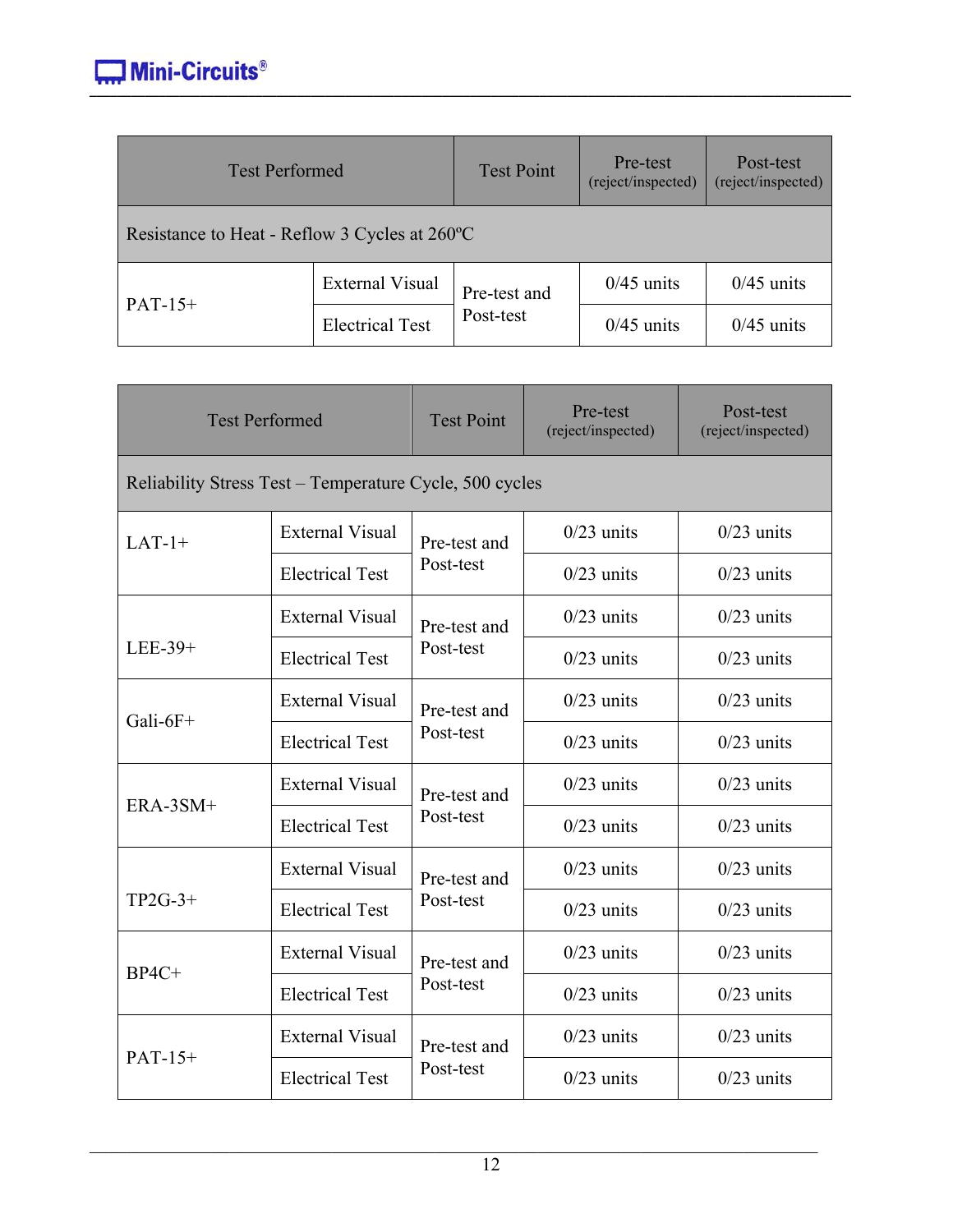| <b>Test Performed</b>                         |                        | <b>Test Point</b> | Pre-test<br>(reject/inspected) | Post-test<br>(reject/inspected) |
|-----------------------------------------------|------------------------|-------------------|--------------------------------|---------------------------------|
| Resistance to Heat - Reflow 3 Cycles at 260°C |                        |                   |                                |                                 |
| $PAT-15+$                                     | <b>External Visual</b> | Pre-test and      | $0/45$ units                   | $0/45$ units                    |
|                                               | <b>Electrical Test</b> | Post-test         | $0/45$ units                   | $0/45$ units                    |

| <b>Test Performed</b> |                                                         | <b>Test Point</b> | Pre-test<br>(reject/inspected) | Post-test<br>(reject/inspected) |  |  |
|-----------------------|---------------------------------------------------------|-------------------|--------------------------------|---------------------------------|--|--|
|                       | Reliability Stress Test – Temperature Cycle, 500 cycles |                   |                                |                                 |  |  |
| $LAT-1+$              | <b>External Visual</b>                                  | Pre-test and      | $0/23$ units                   | $0/23$ units                    |  |  |
|                       | <b>Electrical Test</b>                                  | Post-test         | $0/23$ units                   | $0/23$ units                    |  |  |
|                       | <b>External Visual</b>                                  | Pre-test and      | $0/23$ units                   | $0/23$ units                    |  |  |
| LEE-39+               | <b>Electrical Test</b>                                  | Post-test         | $0/23$ units                   | $0/23$ units                    |  |  |
|                       | <b>External Visual</b>                                  | Pre-test and      | $0/23$ units                   | $0/23$ units                    |  |  |
| Gali- $6F+$           | <b>Electrical Test</b>                                  | Post-test         | $0/23$ units                   | $0/23$ units                    |  |  |
|                       | <b>External Visual</b>                                  | Pre-test and      | $0/23$ units                   | $0/23$ units                    |  |  |
| ERA-3SM+              | <b>Electrical Test</b>                                  | Post-test         | $0/23$ units                   | $0/23$ units                    |  |  |
|                       | <b>External Visual</b>                                  | Pre-test and      | $0/23$ units                   | $0/23$ units                    |  |  |
| $TP2G-3+$             | <b>Electrical Test</b>                                  | Post-test         | $0/23$ units                   | $0/23$ units                    |  |  |
|                       | <b>External Visual</b>                                  | Pre-test and      | $0/23$ units                   | $0/23$ units                    |  |  |
| $BP4C+$               | <b>Electrical Test</b>                                  | Post-test         | $0/23$ units                   | $0/23$ units                    |  |  |
|                       | <b>External Visual</b>                                  | Pre-test and      | $0/23$ units                   | $0/23$ units                    |  |  |
| $PAT-15+$             | <b>Electrical Test</b>                                  | Post-test         | $0/23$ units                   | $0/23$ units                    |  |  |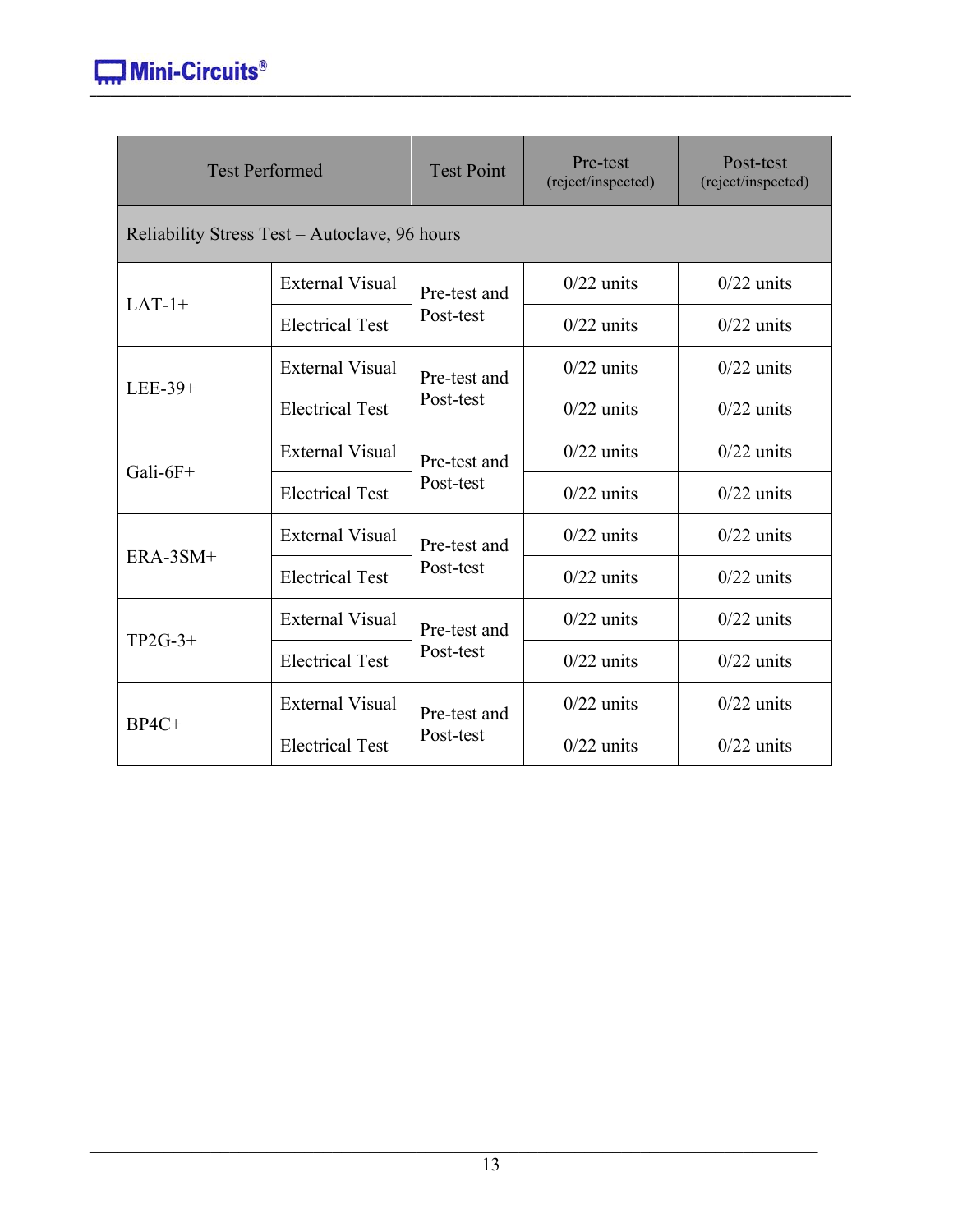| <b>Test Performed</b>                         |                        | <b>Test Point</b> | Pre-test<br>(reject/inspected) | Post-test<br>(reject/inspected) |  |
|-----------------------------------------------|------------------------|-------------------|--------------------------------|---------------------------------|--|
| Reliability Stress Test – Autoclave, 96 hours |                        |                   |                                |                                 |  |
| $LAT-1+$                                      | <b>External Visual</b> | Pre-test and      | $0/22$ units                   | $0/22$ units                    |  |
|                                               | <b>Electrical Test</b> | Post-test         | $0/22$ units                   | $0/22$ units                    |  |
| LEE-39+                                       | <b>External Visual</b> | Pre-test and      | $0/22$ units                   | $0/22$ units                    |  |
|                                               | <b>Electrical Test</b> | Post-test         | $0/22$ units                   | $0/22$ units                    |  |
| Gali- $6F+$                                   | <b>External Visual</b> | Pre-test and      | $0/22$ units                   | $0/22$ units                    |  |
|                                               | <b>Electrical Test</b> | Post-test         | $0/22$ units                   | $0/22$ units                    |  |
| $ERA-3SM+$                                    | <b>External Visual</b> | Pre-test and      | $0/22$ units                   | $0/22$ units                    |  |
|                                               | <b>Electrical Test</b> | Post-test         | $0/22$ units                   | $0/22$ units                    |  |
|                                               | <b>External Visual</b> | Pre-test and      | $0/22$ units                   | $0/22$ units                    |  |
| $TP2G-3+$                                     | <b>Electrical Test</b> | Post-test         | $0/22$ units                   | $0/22$ units                    |  |
|                                               | <b>External Visual</b> | Pre-test and      | $0/22$ units                   | $0/22$ units                    |  |
| $BP4C+$                                       | <b>Electrical Test</b> | Post-test         | $0/22$ units                   | $0/22$ units                    |  |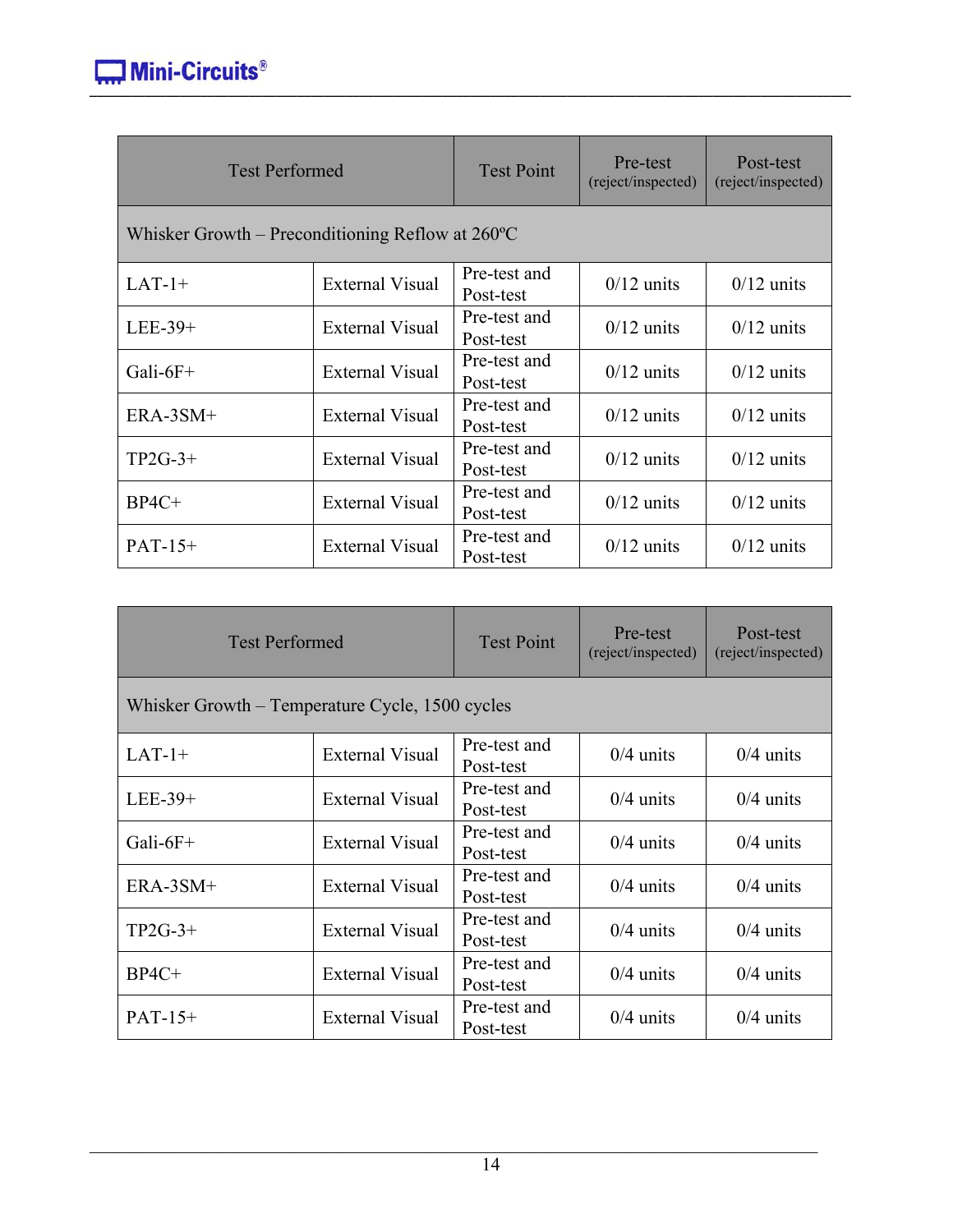| <b>Test Performed</b>                                      |                        | <b>Test Point</b>         | Pre-test<br>(reject/inspected) | Post-test<br>(reject/inspected) |
|------------------------------------------------------------|------------------------|---------------------------|--------------------------------|---------------------------------|
| Whisker Growth – Preconditioning Reflow at $260^{\circ}$ C |                        |                           |                                |                                 |
| $LAT-1+$                                                   | <b>External Visual</b> | Pre-test and<br>Post-test | $0/12$ units                   | $0/12$ units                    |
| $LEE-39+$                                                  | <b>External Visual</b> | Pre-test and<br>Post-test | $0/12$ units                   | $0/12$ units                    |
| Gali- $6F+$                                                | External Visual        | Pre-test and<br>Post-test | $0/12$ units                   | $0/12$ units                    |
| $ERA-3SM+$                                                 | <b>External Visual</b> | Pre-test and<br>Post-test | $0/12$ units                   | $0/12$ units                    |
| $TP2G-3+$                                                  | <b>External Visual</b> | Pre-test and<br>Post-test | $0/12$ units                   | $0/12$ units                    |
| $BP4C+$                                                    | <b>External Visual</b> | Pre-test and<br>Post-test | $0/12$ units                   | $0/12$ units                    |
| $PAT-15+$                                                  | External Visual        | Pre-test and<br>Post-test | $0/12$ units                   | $0/12$ units                    |

| <b>Test Performed</b>                           |                        | <b>Test Point</b>         | Pre-test<br>(reject/inspected) | Post-test<br>(reject/inspected) |
|-------------------------------------------------|------------------------|---------------------------|--------------------------------|---------------------------------|
| Whisker Growth – Temperature Cycle, 1500 cycles |                        |                           |                                |                                 |
| $LAT-1+$                                        | <b>External Visual</b> | Pre-test and<br>Post-test | $0/4$ units                    | $0/4$ units                     |
| $LEE-39+$                                       | <b>External Visual</b> | Pre-test and<br>Post-test | $0/4$ units                    | $0/4$ units                     |
| Gali- $6F+$                                     | <b>External Visual</b> | Pre-test and<br>Post-test | $0/4$ units                    | $0/4$ units                     |
| $ERA-3SM+$                                      | <b>External Visual</b> | Pre-test and<br>Post-test | $0/4$ units                    | $0/4$ units                     |
| $TP2G-3+$                                       | <b>External Visual</b> | Pre-test and<br>Post-test | $0/4$ units                    | $0/4$ units                     |
| $BP4C+$                                         | <b>External Visual</b> | Pre-test and<br>Post-test | $0/4$ units                    | $0/4$ units                     |
| $PAT-15+$                                       | <b>External Visual</b> | Pre-test and<br>Post-test | $0/4$ units                    | $0/4$ units                     |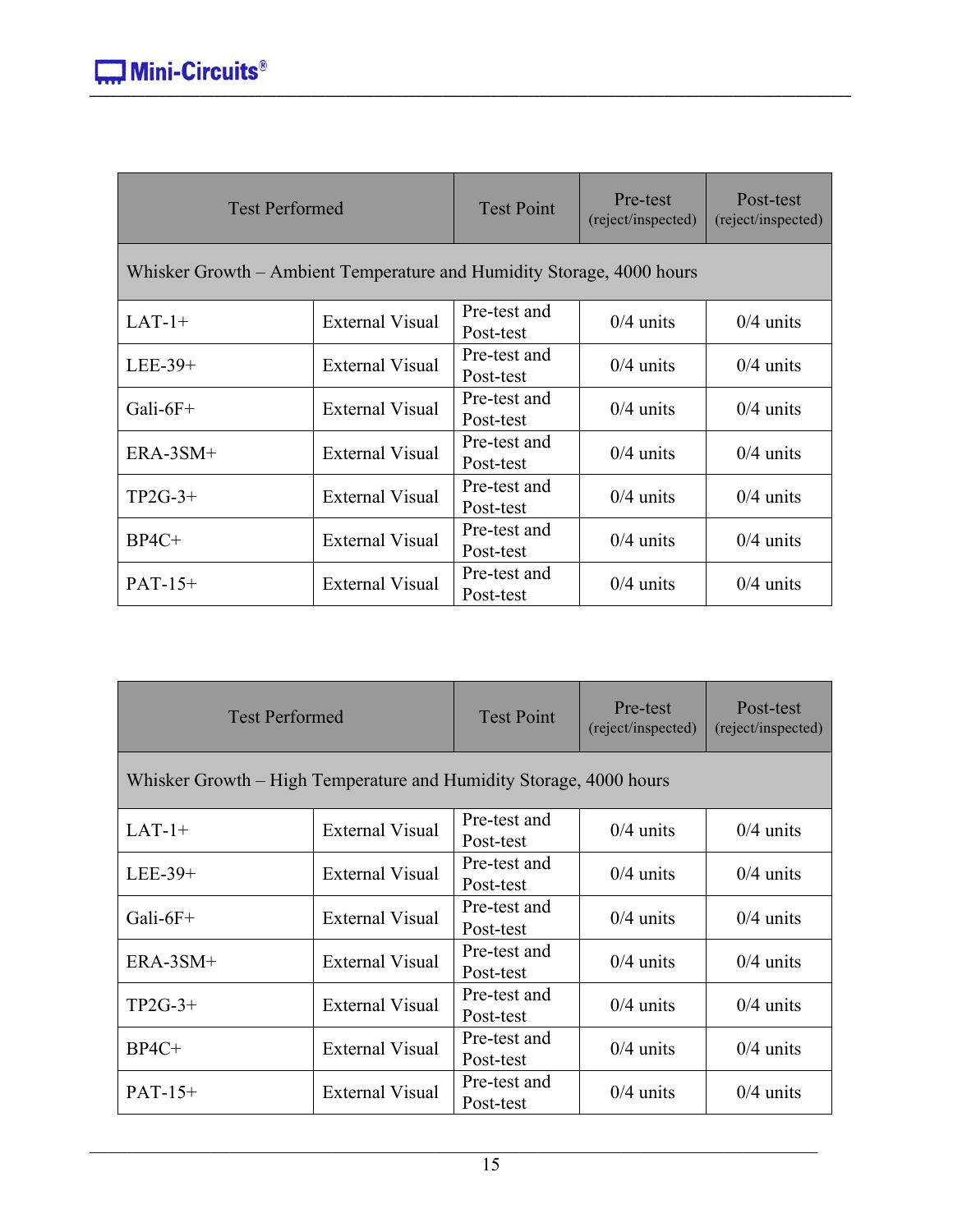| <b>Test Performed</b>                                                 |                        | <b>Test Point</b>         | Pre-test<br>(reject/inspected) | Post-test<br>(reject/inspected) |
|-----------------------------------------------------------------------|------------------------|---------------------------|--------------------------------|---------------------------------|
| Whisker Growth – Ambient Temperature and Humidity Storage, 4000 hours |                        |                           |                                |                                 |
| $LAT-1+$                                                              | <b>External Visual</b> | Pre-test and<br>Post-test | $0/4$ units                    | $0/4$ units                     |
| LEE-39+                                                               | <b>External Visual</b> | Pre-test and<br>Post-test | $0/4$ units                    | $0/4$ units                     |
| Gali- $6F+$                                                           | <b>External Visual</b> | Pre-test and<br>Post-test | $0/4$ units                    | $0/4$ units                     |
| $ERA-3SM+$                                                            | <b>External Visual</b> | Pre-test and<br>Post-test | $0/4$ units                    | $0/4$ units                     |
| $TP2G-3+$                                                             | <b>External Visual</b> | Pre-test and<br>Post-test | $0/4$ units                    | $0/4$ units                     |
| $BP4C+$                                                               | <b>External Visual</b> | Pre-test and<br>Post-test | $0/4$ units                    | $0/4$ units                     |
| $PAT-15+$                                                             | <b>External Visual</b> | Pre-test and<br>Post-test | $0/4$ units                    | $0/4$ units                     |

| <b>Test Performed</b>                                              |                        | <b>Test Point</b>         | Pre-test<br>(reject/inspected) | Post-test<br>(reject/inspected) |
|--------------------------------------------------------------------|------------------------|---------------------------|--------------------------------|---------------------------------|
| Whisker Growth – High Temperature and Humidity Storage, 4000 hours |                        |                           |                                |                                 |
| $LAT-1+$                                                           | <b>External Visual</b> | Pre-test and<br>Post-test | $0/4$ units                    | $0/4$ units                     |
| $LEE-39+$                                                          | <b>External Visual</b> | Pre-test and<br>Post-test | $0/4$ units                    | $0/4$ units                     |
| Gali- $6F+$                                                        | <b>External Visual</b> | Pre-test and<br>Post-test | $0/4$ units                    | $0/4$ units                     |
| ERA-3SM+                                                           | <b>External Visual</b> | Pre-test and<br>Post-test | $0/4$ units                    | $0/4$ units                     |
| $TP2G-3+$                                                          | <b>External Visual</b> | Pre-test and<br>Post-test | $0/4$ units                    | $0/4$ units                     |
| $BP4C+$                                                            | <b>External Visual</b> | Pre-test and<br>Post-test | $0/4$ units                    | $0/4$ units                     |
| $PATH-15+$                                                         | <b>External Visual</b> | Pre-test and<br>Post-test | $0/4$ units                    | $0/4$ units                     |